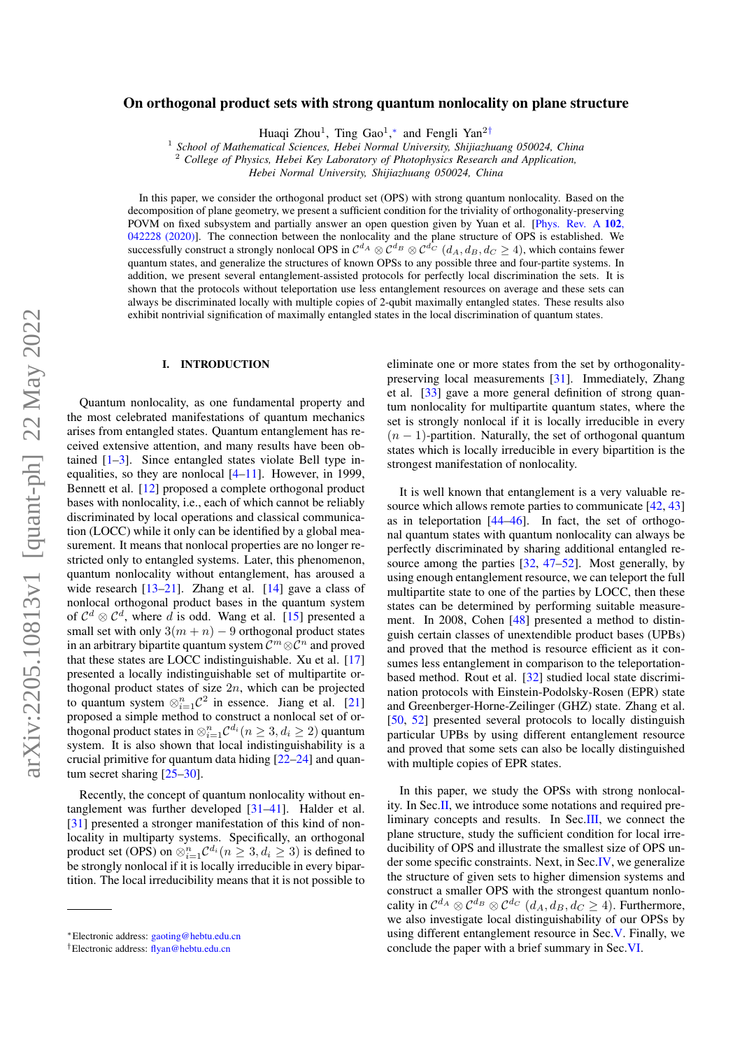# On orthogonal product sets with strong quantum nonlocality on plane structure

Huaqi Zhou<sup>1</sup>, Ting Gao<sup>1</sup>,\* and Fengli Yan<sup>2[†](#page-0-1)</sup>

1 *School of Mathematical Sciences, Hebei Normal University, Shijiazhuang 050024, China*

<sup>2</sup> *College of Physics, Hebei Key Laboratory of Photophysics Research and Application,*

*Hebei Normal University, Shijiazhuang 050024, China*

In this paper, we consider the orthogonal product set (OPS) with strong quantum nonlocality. Based on the decomposition of plane geometry, we present a sufficient condition for the triviality of orthogonality-preserving POVM on fixed subsystem and partially answer an open question given by Yuan et al. [\[Phys. Rev. A](https://journals.aps.org/pra/abstract/10.1103/PhysRevA.102.042228) 102, [042228 \(2020\)\]](https://journals.aps.org/pra/abstract/10.1103/PhysRevA.102.042228). The connection between the nonlocality and the plane structure of OPS is established. We successfully construct a strongly nonlocal OPS in  $C^{d_A}\otimes C^{d_B}\otimes C^{d_C}$   $(d_A,d_B,d_C\geq 4)$ , which contains fewer quantum states, and generalize the structures of known OPSs to any possible three and four-partite systems. In addition, we present several entanglement-assisted protocols for perfectly local discrimination the sets. It is shown that the protocols without teleportation use less entanglement resources on average and these sets can always be discriminated locally with multiple copies of 2-qubit maximally entangled states. These results also exhibit nontrivial signification of maximally entangled states in the local discrimination of quantum states.

## I. INTRODUCTION

Quantum nonlocality, as one fundamental property and the most celebrated manifestations of quantum mechanics arises from entangled states. Quantum entanglement has received extensive attention, and many results have been obtained [\[1](#page-13-0)[–3\]](#page-13-1). Since entangled states violate Bell type inequalities, so they are nonlocal  $[4-11]$  $[4-11]$ . However, in 1999, Bennett et al. [\[12\]](#page-13-4) proposed a complete orthogonal product bases with nonlocality, i.e., each of which cannot be reliably discriminated by local operations and classical communication (LOCC) while it only can be identified by a global measurement. It means that nonlocal properties are no longer restricted only to entangled systems. Later, this phenomenon, quantum nonlocality without entanglement, has aroused a wide research [\[13](#page-13-5)[–21\]](#page-13-6). Zhang et al. [\[14\]](#page-13-7) gave a class of nonlocal orthogonal product bases in the quantum system of  $\mathcal{C}^d \otimes \mathcal{C}^d$ , where d is odd. Wang et al. [\[15\]](#page-13-8) presented a small set with only  $3(m + n) - 9$  orthogonal product states in an arbitrary bipartite quantum system  $\mathcal{C}^m \otimes \mathcal{C}^n$  and proved that these states are LOCC indistinguishable. Xu et al. [\[17\]](#page-13-9) presented a locally indistinguishable set of multipartite orthogonal product states of size  $2n$ , which can be projected to quantum system  $\otimes_{i=1}^n C^2$  in essence. Jiang et al. [\[21\]](#page-13-6) proposed a simple method to construct a nonlocal set of orthogonal product states in  $\otimes_{i=1}^n\mathcal{C}^{d_i} (n\geq 3, d_i\geq 2)$  quantum system. It is also shown that local indistinguishability is a crucial primitive for quantum data hiding [\[22–](#page-13-10)[24\]](#page-13-11) and quantum secret sharing [\[25–](#page-13-12)[30\]](#page-13-13).

Recently, the concept of quantum nonlocality without entanglement was further developed [\[31](#page-13-14)[–41\]](#page-13-15). Halder et al. [\[31\]](#page-13-14) presented a stronger manifestation of this kind of nonlocality in multiparty systems. Specifically, an orthogonal product set (OPS) on  $\otimes_{i=1}^n \mathcal{C}^{d_i} (n \geq 3, d_i \geq 3)$  is defined to be strongly nonlocal if it is locally irreducible in every bipartition. The local irreducibility means that it is not possible to

eliminate one or more states from the set by orthogonalitypreserving local measurements [\[31\]](#page-13-14). Immediately, Zhang et al. [\[33\]](#page-13-16) gave a more general definition of strong quantum nonlocality for multipartite quantum states, where the set is strongly nonlocal if it is locally irreducible in every  $(n - 1)$ -partition. Naturally, the set of orthogonal quantum states which is locally irreducible in every bipartition is the strongest manifestation of nonlocality.

It is well known that entanglement is a very valuable re-source which allows remote parties to communicate [\[42,](#page-13-17) [43\]](#page-13-18) as in teleportation  $[44-46]$  $[44-46]$ . In fact, the set of orthogonal quantum states with quantum nonlocality can always be perfectly discriminated by sharing additional entangled resource among the parties [\[32,](#page-13-20) [47](#page-14-1)[–52\]](#page-14-2). Most generally, by using enough entanglement resource, we can teleport the full multipartite state to one of the parties by LOCC, then these states can be determined by performing suitable measurement. In 2008, Cohen [\[48\]](#page-14-3) presented a method to distinguish certain classes of unextendible product bases (UPBs) and proved that the method is resource efficient as it consumes less entanglement in comparison to the teleportationbased method. Rout et al. [\[32\]](#page-13-20) studied local state discrimination protocols with Einstein-Podolsky-Rosen (EPR) state and Greenberger-Horne-Zeilinger (GHZ) state. Zhang et al. [\[50,](#page-14-4) [52\]](#page-14-2) presented several protocols to locally distinguish particular UPBs by using different entanglement resource and proved that some sets can also be locally distinguished with multiple copies of EPR states.

In this paper, we study the OPSs with strong nonlocality. In Sec[.II,](#page-1-0) we introduce some notations and required preliminary concepts and results. In Sec[.III,](#page-1-1) we connect the plane structure, study the sufficient condition for local irreducibility of OPS and illustrate the smallest size of OPS under some specific constraints. Next, in Sec[.IV,](#page-3-0) we generalize the structure of given sets to higher dimension systems and construct a smaller OPS with the strongest quantum nonlocality in  $\mathcal{C}^{d_A} \otimes \mathcal{C}^{d_B} \otimes \mathcal{C}^{d_C}$   $(d_A, d_B, d_C \ge 4)$ . Furthermore, we also investigate local distinguishability of our OPSs by using different entanglement resource in Sec[.V.](#page-5-0) Finally, we conclude the paper with a brief summary in Sec[.VI.](#page-5-1)

<span id="page-0-0"></span><sup>∗</sup>Electronic address: [gaoting@hebtu.edu.cn](mailto:gaoting@hebtu.edu.cn)

<span id="page-0-1"></span><sup>†</sup>Electronic address: [flyan@hebtu.edu.cn](mailto:flyan@hebtu.edu.cn)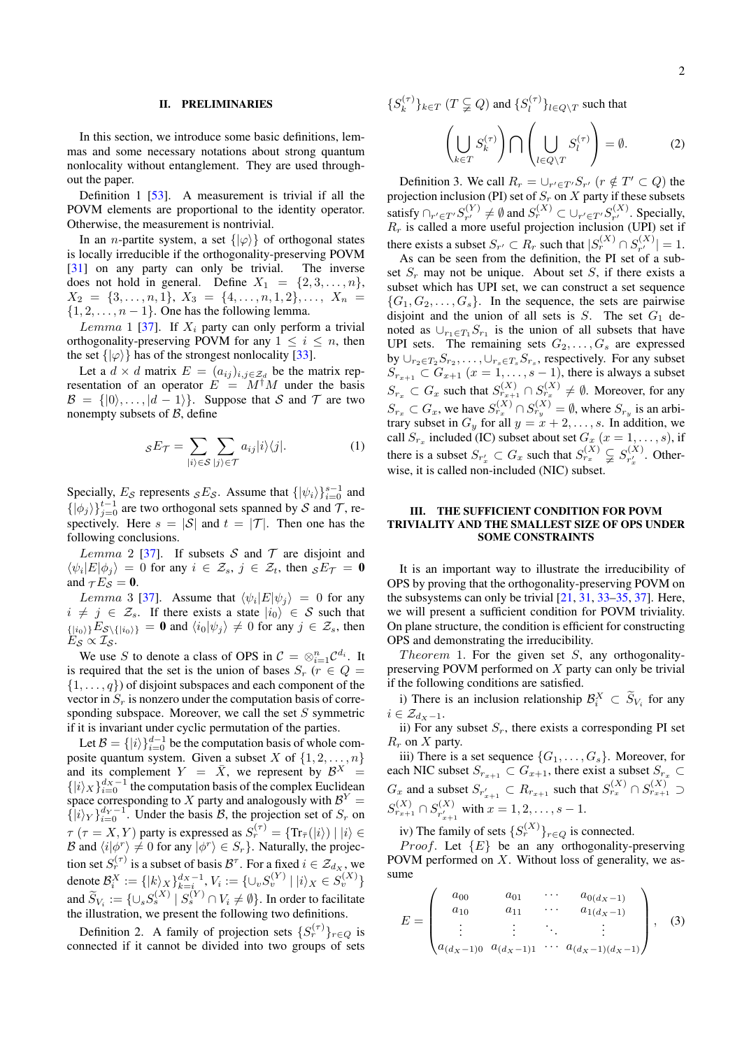### <span id="page-1-0"></span>II. PRELIMINARIES

In this section, we introduce some basic definitions, lemmas and some necessary notations about strong quantum nonlocality without entanglement. They are used throughout the paper.

Definition 1 [\[53\]](#page-14-5). A measurement is trivial if all the POVM elements are proportional to the identity operator. Otherwise, the measurement is nontrivial.

In an *n*-partite system, a set  $\{|\varphi\rangle\}$  of orthogonal states is locally irreducible if the orthogonality-preserving POVM [\[31\]](#page-13-14) on any party can only be trivial. The inverse does not hold in general. Define  $X_1 = \{2, 3, \ldots, n\},\$  $X_2 = \{3, \ldots, n, 1\}, X_3 = \{4, \ldots, n, 1, 2\}, \ldots, X_n =$  $\{1, 2, \ldots, n-1\}$ . One has the following lemma.

Lemma 1 [\[37\]](#page-13-21). If  $X_i$  party can only perform a trivial orthogonality-preserving POVM for any  $1 \leq i \leq n$ , then the set  $\{|\varphi\rangle\}$  has of the strongest nonlocality [\[33\]](#page-13-16).

Let a  $d \times d$  matrix  $E = (a_{ij})_{i,j \in \mathcal{Z}_d}$  be the matrix representation of an operator  $E = M^{\dagger}M$  under the basis  $\mathcal{B} = \{ |0\rangle, \ldots, |d-1\rangle \}.$  Suppose that S and T are two nonempty subsets of  $B$ , define

$$
sE_{\mathcal{T}} = \sum_{|i\rangle \in \mathcal{S}} \sum_{|j\rangle \in \mathcal{T}} a_{ij} |i\rangle \langle j|.
$$
 (1)

Specially,  $E_S$  represents  ${}_{S}E_S$ . Assume that  $\{|\psi_i\rangle\}_{i=0}^{s-1}$  and  $\{|\phi_j\rangle\}_{j=0}^{t-1}$  are two orthogonal sets spanned by S and T, respectively. Here  $s = |\mathcal{S}|$  and  $t = |\mathcal{T}|$ . Then one has the following conclusions.

Lemma 2 [\[37\]](#page-13-21). If subsets S and T are disjoint and  $\langle \psi_i | E | \phi_j \rangle = 0$  for any  $i \in \mathcal{Z}_s$ ,  $j \in \mathcal{Z}_t$ , then  ${}_{\mathcal{S}}E_{\mathcal{T}} = \mathbf{0}$ and  $\tau E_S = 0$ .

*Lemma* 3 [\[37\]](#page-13-21). Assume that  $\langle \psi_i | E | \psi_j \rangle = 0$  for any  $i \neq j \in \mathcal{Z}_s$ . If there exists a state  $|i_0\rangle \in S$  such that  $\{|i_0\rangle|E_{\mathcal{S}\backslash\{|i_0\rangle\}}=0$  and  $\langle i_0|\psi_j\rangle\neq 0$  for any  $j\in \mathcal{Z}_s$ , then  $E_{\mathcal{S}} \propto \mathcal{I}_{\mathcal{S}}$ .

We use S to denote a class of OPS in  $C = \otimes_{i=1}^{n} C^{d_i}$ . It is required that the set is the union of bases  $S_r$  ( $r \in Q =$  $\{1, \ldots, q\}$  of disjoint subspaces and each component of the vector in  $S_r$  is nonzero under the computation basis of corresponding subspace. Moreover, we call the set  $S$  symmetric if it is invariant under cyclic permutation of the parties.

Let  $B = \{|i\rangle\}_{i=0}^{d-1}$  be the computation basis of whole composite quantum system. Given a subset X of  $\{1, 2, \ldots, n\}$ and its complement  $Y = \overline{X}$ , we represent by  $\mathcal{B}^{X} =$  $\{|i\rangle_X\}_{i=0}^{d_X-1}$  the computation basis of the complex Euclidean space corresponding to X party and analogously with  $\mathcal{B}^Y =$  $\left\{ |i\rangle_Y \right\}_{i=0}^{d_Y - 1}$ . Under the basis B, the projection set of  $S_r$  on  $\tau$  ( $\tau = X, Y$ ) party is expressed as  $S_r^{(\tau)} = \{ \text{Tr}_{\bar{\tau}}(|i\rangle) \mid |i\rangle \in$ B and  $\langle i|\phi^r\rangle \neq 0$  for any  $|\phi^r\rangle \in S_r$ . Naturally, the projection set  $S_r^{(\tau)}$  is a subset of basis  $\mathcal{B}^{\tau}$ . For a fixed  $i \in \mathcal{Z}_{d_X}$ , we denote  $\mathcal{B}_i^X := \{ |k\rangle_X \}_{k=i}^{d_X-1},$   $V_i := \{ \cup_v S_v^{(Y)} \ | \ |i\rangle_X \in S_v^{(X)} \}$ and  $\widetilde{S}_{V_i} := \{ \cup_s S_s^{(X)} \mid S_s^{(Y)} \cap V_i \neq \emptyset \}$ . In order to facilitate the illustration, we present the following two definitions.

Definition 2. A family of projection sets  $\{S_r^{(\tau)}\}_{r \in Q}$  is connected if it cannot be divided into two groups of sets  $\{S_k^{(\tau)}\}$  $\{k^{(\tau)}\}_{k\in T}$   $(T \subsetneqq Q)$  and  $\{S_l^{(\tau)}\}$  $\{u^{(1)}\}_{l \in Q \setminus T}$  such that

$$
\left(\bigcup_{k\in T} S_k^{(\tau)}\right) \bigcap \left(\bigcup_{l\in Q\setminus T} S_l^{(\tau)}\right) = \emptyset. \tag{2}
$$

Definition 3. We call  $R_r = \bigcup_{r' \in T'} S_{r'}$   $(r \notin T' \subset Q)$  the projection inclusion (PI) set of  $S_r$  on  $X$  party if these subsets satisfy  $\bigcap_{r' \in T'} S_{r'}^{(Y)}$  $f_{r'}^{(Y)} \neq \emptyset$  and  $S_r^{(X)} \subset \cup_{r' \in T'} S_{r'}^{(X)}$  $r^{\left(\text{A}\right)}$ . Specially,  $R_r$  is called a more useful projection inclusion (UPI) set if there exists a subset  $S_{r'} \subset R_r$  such that  $|S_r^{(X)} \cap S_{r'}^{(X)}|$  $|r'^{(\Lambda)}| = 1.$ 

As can be seen from the definition, the PI set of a subset  $S_r$  may not be unique. About set S, if there exists a subset which has UPI set, we can construct a set sequence  ${G_1, G_2, \ldots, G_s}$ . In the sequence, the sets are pairwise disjoint and the union of all sets is  $S$ . The set  $G_1$  denoted as  $\bigcup_{r_1 \in T_1} S_{r_1}$  is the union of all subsets that have UPI sets. The remaining sets  $G_2, \ldots, G_s$  are expressed by  $\cup_{r_2 \in T_2} S_{r_2}, \dots, \cup_{r_s \in T_s} S_{r_s}$ , respectively. For any subset  $S_{r_{x+1}} \subset G_{x+1}$   $(x = 1, \ldots, s-1)$ , there is always a subset  $S_{r_x} \subset G_x$  such that  $S_{r_{x+1}}^{(X)} \cap S_{r_x}^{(X)} \neq \emptyset$ . Moreover, for any  $S_{r_x} \subset G_x$ , we have  $S_{r_x}^{(X)} \cap S_{r_y}^{(X)} = \emptyset$ , where  $S_{r_y}$  is an arbitrary subset in  $G_y$  for all  $y = x + 2, \ldots, s$ . In addition, we call  $S_{r_x}$  included (IC) subset about set  $G_x$   $(x = 1, \ldots, s)$ , if there is a subset  $S_{r'_x} \subset G_x$  such that  $S_{r_x}^{(X)} \subsetneq S_{r'_x}^{(X)}$  $r'_x$ . Otherwise, it is called non-included (NIC) subset.

### <span id="page-1-1"></span>III. THE SUFFICIENT CONDITION FOR POVM TRIVIALITY AND THE SMALLEST SIZE OF OPS UNDER SOME CONSTRAINTS

It is an important way to illustrate the irreducibility of OPS by proving that the orthogonality-preserving POVM on the subsystems can only be trivial [\[21,](#page-13-6) [31,](#page-13-14) [33–](#page-13-16)[35,](#page-13-22) [37\]](#page-13-21). Here, we will present a sufficient condition for POVM triviality. On plane structure, the condition is efficient for constructing OPS and demonstrating the irreducibility.

Theorem 1. For the given set  $S$ , any orthogonalitypreserving POVM performed on X party can only be trivial if the following conditions are satisfied.

i) There is an inclusion relationship  $\mathcal{B}_{i}^{X} \subset \mathcal{S}_{V_{i}}$  for any  $i \in \mathcal{Z}_{d_X-1}.$ 

ii) For any subset  $S_r$ , there exists a corresponding PI set  $R_r$  on  $X$  party.

iii) There is a set sequence  $\{G_1, \ldots, G_s\}$ . Moreover, for each NIC subset  $S_{r_{x+1}} \subset G_{x+1}$ , there exist a subset  $S_{r_x} \subset G_{x+1}$  $G_x$  and a subset  $S_{r'_{x+1}} \subset R_{r_{x+1}}$  such that  $S_{r_x}^{(X)} \cap S_{r_{x+1}}^{(X)} \supset$  $S_{r_{x+1}}^{(X)} \cap S_{r'}^{(X)}$  $r_{x+1}^{(\mathcal{A})}$  with  $x = 1, 2, ..., s-1$ .

iv) The family of sets  $\{S_r^{(X)}\}_{r \in Q}$  is connected.

*Proof.* Let  ${E}$  be an any orthogonality-preserving POVM performed on  $X$ . Without loss of generality, we assume

$$
E = \begin{pmatrix} a_{00} & a_{01} & \cdots & a_{0(d_X - 1)} \\ a_{10} & a_{11} & \cdots & a_{1(d_X - 1)} \\ \vdots & \vdots & \ddots & \vdots \\ a_{(d_X - 1)0} & a_{(d_X - 1)1} & \cdots & a_{(d_X - 1)(d_X - 1)} \end{pmatrix}, \quad (3)
$$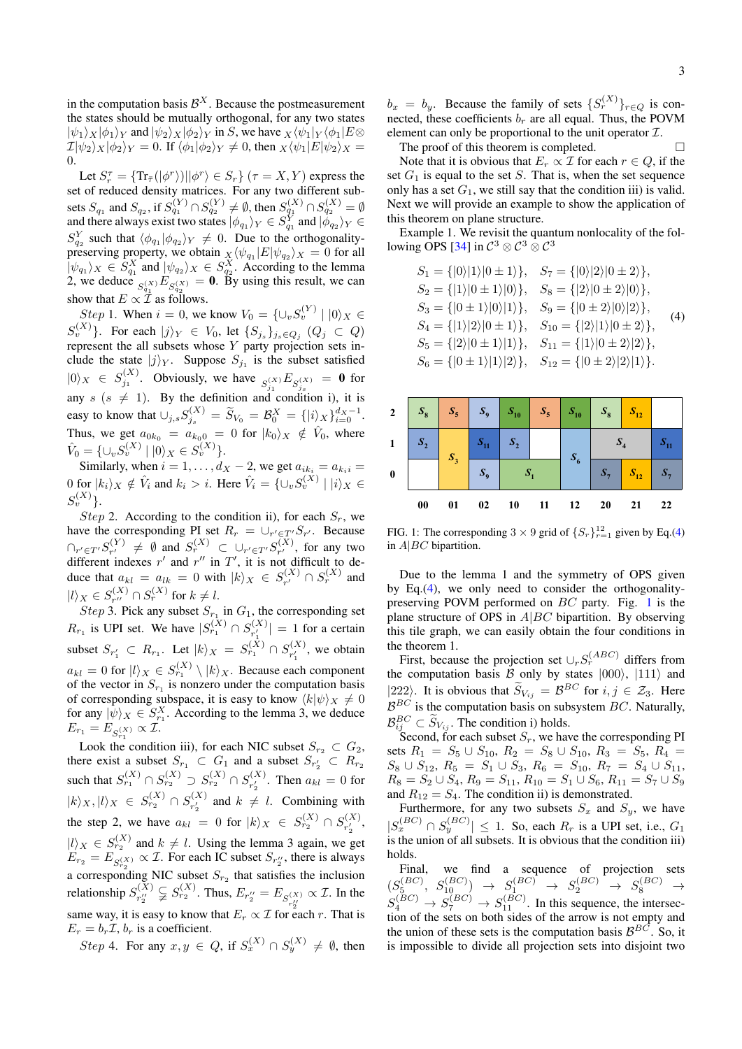in the computation basis  $\mathcal{B}^X$ . Because the postmeasurement the states should be mutually orthogonal, for any two states  $|\psi_1\rangle_X|\phi_1\rangle_Y$  and  $|\psi_2\rangle_X|\phi_2\rangle_Y$  in S, we have  $_X\langle\psi_1|_Y\langle\phi_1|E\otimes$  $\mathcal{I}|\psi_2\rangle_X|\phi_2\rangle_Y = 0$ . If  $\langle \phi_1|\phi_2\rangle_Y \neq 0$ , then  $_X\langle \psi_1|E|\psi_2\rangle_X =$ 0.

Let  $S_r^{\tau} = {\text{Tr}_{\bar{\tau}}(|\phi^r\rangle)||\phi^r\rangle \in S_r}$   $(\tau = X, Y)$  express the set of reduced density matrices. For any two different subsets  $S_{q_1}$  and  $S_{q_2}$ , if  $S_{q_1}^{(Y)} \cap S_{q_2}^{(Y)} \neq \emptyset$ , then  $S_{q_1}^{(X)} \cap S_{q_2}^{(X)} = \emptyset$ and there always exist two states  $|\phi_{q_1}\rangle_Y \in S_{q_1}^Y$  and  $|\phi_{q_2}\rangle_Y \in$  $S_{q_2}^Y$  such that  $\langle \phi_{q_1} | \phi_{q_2} \rangle_Y \neq 0$ . Due to the orthogonality- $\omega_{q_2}$  such that  $\langle \psi_{q_1} | \psi_{q_2} \rangle_Y \neq 0$ . But to the orthogonally-<br>preserving property, we obtain  $\chi \langle \psi_{q_1} | E | \psi_{q_2} \rangle_X = 0$  for all  $|\psi_{q_1}\rangle_X \in S_{q_1}^X$  and  $|\psi_{q_2}\rangle_X \in S_{q_2}^X$ . According to the lemma 2, we deduce  $S_{q_1}^{(X)} E_{S_{q_2}^{(X)}} = \mathbf{0}$ . By using this result, we can show that  $E \propto \mathcal{I}$  as follows.

*Step* 1. When  $i = 0$ , we know  $V_0 = \{ \cup_v S_v^{(Y)} \mid |0\rangle_X \in$  $\{S_v^{(X)}\}$ . For each  $|j\rangle_Y \in V_0$ , let  $\{S_{j_s}\}_{j_s\in Q_j}$   $(Q_j\,\subset\, Q)$ represent the all subsets whose Y party projection sets include the state  $|j\rangle_Y$ . Suppose  $S_{j_1}$  is the subset satisfied  $|0\rangle_X \in S_{j_1}^{(X)}$ . Obviously, we have  $S_{j_1}^{(X)} E_{S_{j_2}^{(X)}} = \mathbf{0}$  for any  $s$  ( $s \neq 1$ ). By the definition and condition i), it is easy to know that  $\cup_{j,s} S_{j_s}^{(X)} = \widetilde{S}_{V_0} = \mathcal{B}_0^X = \{ |i\rangle_X \}_{i=0}^{d_X - 1}$ . Thus, we get  $a_{0k_0} = a_{k_00} = 0$  for  $|k_0\rangle_X \notin \hat{V}_0$ , where  $\hat{V}_0 = \{\cup_v S_v^{(X)} \mid |0\rangle_X \in S_v^{(X)}\}.$ 

Similarly, when  $i = 1, \ldots, d_X - 2$ , we get  $a_{ik_i} = a_{k_i} =$ 0 for  $|k_i\rangle_X \notin \hat{V}_i$  and  $k_i > i$ . Here  $\hat{V}_i = \{\cup_v S_v^{(X)} \mid |i\rangle_X \in$  $S_v^{(X)}\}.$ 

Step 2. According to the condition ii), for each  $S_r$ , we have the corresponding PI set  $R_r = \bigcup_{r' \in T'} S_{r'}$ . Because  $\cap_{r' \in T'} S_{r'}^{(Y)}$  $S_{r'}^{(Y)} \neq \emptyset$  and  $S_{r}^{(X)} \subset \bigcup_{r' \in T'} S_{r'}^{(X)}$  $n_r^{(\Lambda)}$ , for any two different indexes r' and r'' in T', it is not difficult to deduce that  $a_{kl} = a_{lk} = 0$  with  $|k\rangle_X \in S_{r'}^{(X)}$  $C_{r'}^{(X)} \cap S_r^{(X)}$  and  $|l\rangle_X \in S_{r''}^{(X)}$  $S_r^{(X)} \cap S_r^{(X)}$  for  $k \neq l$ .

*Step* 3. Pick any subset  $S_{r_1}$  in  $G_1$ , the corresponding set  $R_{r_1}$  is UPI set. We have  $|S_{r_1}^{(X)} \cap S_{r'_1}^{(X)}|$  $|r_1^{(\mathbf{A})}| = 1$  for a certain subset  $S_{r'_1} \subset R_{r_1}$ . Let  $|k\rangle_X = S_{r_1}^{(X)} \cap S_{r'_1}^{(X)}$  $r_1^{(\mathcal{A})}$ , we obtain  $a_{kl} = 0$  for  $|l\rangle_X \in S_{r_1}^{(X)} \setminus |k\rangle_X$ . Because each component of the vector in  $S_{r_1}$  is nonzero under the computation basis of corresponding subspace, it is easy to know  $\langle k|\psi\rangle_X \neq 0$ for any  $|\psi\rangle_X \in S_{r_1}^X$ . According to the lemma 3, we deduce  $E_{r_1} = E_{S_{r_1}^{(X)}} \propto \mathcal{I}.$ 

Look the condition iii), for each NIC subset  $S_{r_2} \subset G_2$ , there exist a subset  $S_{r_1} \subset G_1$  and a subset  $S_{r'_2} \subset R_{r_2}$ such that  $S_{r_1}^{(X)} \cap S_{r_2}^{(X)} \supset S_{r_2}^{(X)} \cap S_{r_1}^{(X)}$  $r_2^{(\mathcal{A})}$ . Then  $a_{kl} = 0$  for  $|k\rangle_{X}, |l\rangle_{X} \in S_{r_2}^{(X)} \cap S_{r_2'}^{(X)}$  $r_2^{(\Lambda)}$  and  $k \neq l$ . Combining with the step 2, we have  $a_{kl} = 0$  for  $|k\rangle_X \in S_{r_2}^{(X)} \cap S_{r_2}^{(X)}$  $r'_2, \ldots$  $|l\rangle_X \in S_{r_2}^{(X)}$  and  $k \neq l$ . Using the lemma 3 again, we get  $E_{r_2} = E_{S_{r_2}^{(X)}} \propto \mathcal{I}$ . For each IC subset  $S_{r_2}$ , there is always a corresponding NIC subset  $S_{r_2}$  that satisfies the inclusion relationship  $S_{r''}^{(X)}$  $r''_2 \nsubseteq S_{r_2}^{(X)}$ . Thus,  $E_{r''_2} = E_{S_{r''_2}^{(X)}} \propto \mathcal{I}$ . In the same way, it is easy to know that  $E_r \propto \mathcal{I}$  for each r. That is  $E_r = b_r \mathcal{I}, b_r$  is a coefficient.

Step 4. For any  $x, y \in Q$ , if  $S_x^{(X)} \cap S_y^{(X)} \neq \emptyset$ , then

 $b_x = b_y$ . Because the family of sets  $\{S_r^{(X)}\}_{r \in Q}$  is connected, these coefficients  $b_r$  are all equal. Thus, the POVM element can only be proportional to the unit operator  $\mathcal{I}$ .

The proof of this theorem is completed.

Note that it is obvious that  $E_r \propto \mathcal{I}$  for each  $r \in Q$ , if the set  $G_1$  is equal to the set S. That is, when the set sequence only has a set  $G_1$ , we still say that the condition iii) is valid. Next we will provide an example to show the application of this theorem on plane structure.

Example 1. We revisit the quantum nonlocality of the fol-lowing OPS [\[34\]](#page-13-23) in  $\mathcal{C}^3 \otimes \mathcal{C}^3 \otimes \mathcal{C}^3$ 

<span id="page-2-0"></span>
$$
S_1 = \{|0\rangle|1\rangle|0 \pm 1\rangle\}, \quad S_7 = \{|0\rangle|2\rangle|0 \pm 2\rangle\},
$$
  
\n
$$
S_2 = \{|1\rangle|0 \pm 1\rangle|0\rangle\}, \quad S_8 = \{|2\rangle|0 \pm 2\rangle|0\rangle\},
$$
  
\n
$$
S_3 = \{|0 \pm 1\rangle|0\rangle|1\rangle\}, \quad S_9 = \{|0 \pm 2\rangle|0\rangle|2\rangle\},
$$
  
\n
$$
S_4 = \{|1\rangle|2\rangle|0 \pm 1\rangle\}, \quad S_{10} = \{|2\rangle|1\rangle|0 \pm 2\rangle\},
$$
  
\n
$$
S_5 = \{|2\rangle|0 \pm 1\rangle|1\rangle\}, \quad S_{11} = \{|1\rangle|0 \pm 2\rangle|2\rangle\},
$$
  
\n
$$
S_6 = \{|0 \pm 1\rangle|1\rangle|2\rangle\}, \quad S_{12} = \{|0 \pm 2\rangle|2\rangle|1\rangle\}.
$$

| $\overline{2}$ | $S_8$     | $S_5$ | $S_9$              | $S_{10}$       | $S_5$ | $S_{10}$ | $S_8$          | $S_{12}$           |            |
|----------------|-----------|-------|--------------------|----------------|-------|----------|----------------|--------------------|------------|
| $\mathbf{1}$   | $S_2$     | $S_3$ | $S_{11}$           | S <sub>2</sub> |       | $S_6$    | $S_4$          |                    | $S_{11}$   |
| $\pmb{0}$      |           |       | $\boldsymbol{S_9}$ |                |       |          | S <sub>7</sub> | $\mathcal{S}_{12}$ | $S_{\tau}$ |
|                | $\bf{00}$ | 01    | 02                 | 10             | 11    | 12       | <b>20</b>      | 21                 | 22         |

<span id="page-2-1"></span>FIG. 1: The corresponding  $3 \times 9$  grid of  $\{S_r\}_{r=1}^{12}$  given by Eq.[\(4\)](#page-2-0) in  $A|BC$  bipartition.

Due to the lemma 1 and the symmetry of OPS given by Eq.[\(4\)](#page-2-0), we only need to consider the orthogonalitypreserving POVM performed on BC party. Fig. [1](#page-2-1) is the plane structure of OPS in  $A|BC$  bipartition. By observing this tile graph, we can easily obtain the four conditions in the theorem 1.

First, because the projection set  $\cup_r S_r^{(ABC)}$  differs from the computation basis  $\hat{B}$  only by states  $|000\rangle$ ,  $|111\rangle$  and |222). It is obvious that  $S_{V_{ij}} = \mathcal{B}^{BC}$  for  $i, j \in \mathcal{Z}_3$ . Here  $B^{BC}$  is the computation basis on subsystem  $BC$ . Naturally,  $\mathcal{B}_{ij}^{BC} \subset \widetilde{S}_{V_{ij}}$ . The condition i) holds.

Second, for each subset  $S_r$ , we have the corresponding PI sets  $R_1 = S_5 \cup S_{10}$ ,  $R_2 = S_8 \cup S_{10}$ ,  $R_3 = S_5$ ,  $R_4 =$  $S_8 \cup S_{12}$ ,  $R_5 = S_1 \cup S_3$ ,  $R_6 = S_{10}$ ,  $R_7 = S_4 \cup S_{11}$ ,  $R_8 = S_2 \cup S_4$ ,  $R_9 = S_{11}$ ,  $R_{10} = S_1 \cup S_6$ ,  $R_{11} = S_7 \cup S_9$ and  $R_{12} = S_4$ . The condition ii) is demonstrated.

Furthermore, for any two subsets  $S_x$  and  $S_y$ , we have  $|S_x^{(BC)} \cap S_y^{(BC)}| \leq 1$ . So, each  $R_r$  is a UPI set, i.e.,  $G_1$ is the union of all subsets. It is obvious that the condition iii) holds.

Final, we find a sequence of projection sets  $(S_5^{(BC)}, S_{10}^{(BC)}) \rightarrow S_1^{(BC)} \rightarrow S_2^{(BC)} \rightarrow S_8^{(BC)} \rightarrow$  $S_4^{(BC)} \rightarrow S_7^{(BC)} \rightarrow S_{11}^{(BC)}$ . In this sequence, the intersection of the sets on both sides of the arrow is not empty and the union of these sets is the computation basis  $\mathcal{B}^{BC}$ . So, it is impossible to divide all projection sets into disjoint two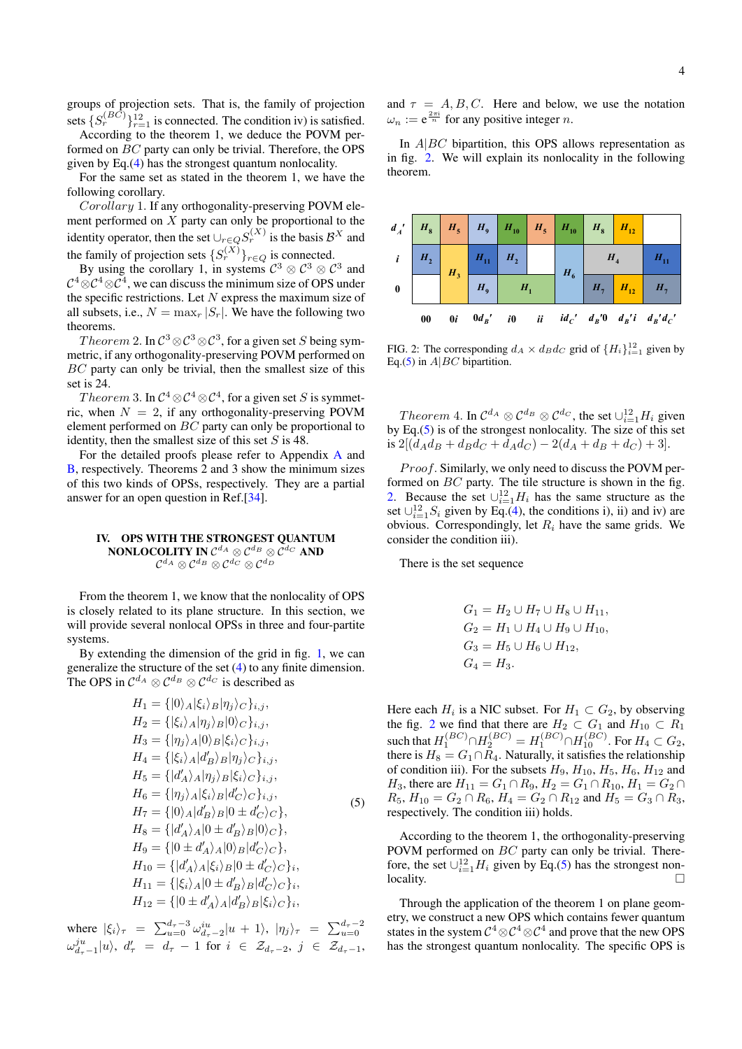groups of projection sets. That is, the family of projection sets  $\{S_r^{(BC)}\}_{r=1}^{12}$  is connected. The condition iv) is satisfied.

According to the theorem 1, we deduce the POVM performed on BC party can only be trivial. Therefore, the OPS given by Eq.[\(4\)](#page-2-0) has the strongest quantum nonlocality.

For the same set as stated in the theorem 1, we have the following corollary.

Corollary 1. If any orthogonality-preserving POVM element performed on  $X$  party can only be proportional to the identity operator, then the set  $\cup_{r \in Q} S_r^{(X)}$  is the basis  $\mathcal{B}^X$  and the family of projection sets  $\{S_r^{(X)}\}_{r \in Q}$  is connected.

By using the corollary 1, in systems  $C^3 \otimes C^3 \otimes C^3$  and  $\mathcal{C}^4\!\otimes\!\mathcal{C}^4\!\otimes\!\mathcal{C}^4,$  we can discuss the minimum size of OPS under the specific restrictions. Let  $N$  express the maximum size of all subsets, i.e.,  $N = \max_r |S_r|$ . We have the following two theorems.

Theorem 2. In  $\mathcal{C}^3 \otimes \mathcal{C}^3 \otimes \mathcal{C}^3,$  for a given set  $S$  being symmetric, if any orthogonality-preserving POVM performed on BC party can only be trivial, then the smallest size of this set is 24.

 $Theorem~3.$  In  $\mathcal{C}^4\!\otimes\!\mathcal{C}^4\!\otimes\!\mathcal{C}^4,$  for a given set  $S$  is symmetric, when  $N = 2$ , if any orthogonality-preserving POVM element performed on BC party can only be proportional to identity, then the smallest size of this set  $S$  is 48.

For the detailed proofs please refer to Appendix [A](#page-6-0) and [B,](#page-6-1) respectively. Theorems 2 and 3 show the minimum sizes of this two kinds of OPSs, respectively. They are a partial answer for an open question in Ref.[\[34\]](#page-13-23).

## <span id="page-3-0"></span>IV. OPS WITH THE STRONGEST QUANTUM NONLOCOLITY IN  $\mathcal{C}^{d_A}\otimes\mathcal{C}^{d_B}\otimes\mathcal{C}^{d_C}$  and  $\mathcal{C}^{d_A} \otimes \mathcal{C}^{d_B} \otimes \mathcal{C}^{d_C} \otimes \mathcal{C}^{d_D}$

From the theorem 1, we know that the nonlocality of OPS is closely related to its plane structure. In this section, we will provide several nonlocal OPSs in three and four-partite systems.

By extending the dimension of the grid in fig. [1,](#page-2-1) we can generalize the structure of the set [\(4\)](#page-2-0) to any finite dimension. The OPS in  $\mathcal{C}^{d_A} \otimes \mathcal{C}^{d_B} \otimes \mathcal{C}^{d_C}$  is described as

<span id="page-3-2"></span>
$$
H_{1} = \{ |0\rangle_{A}|\xi_{i}\rangle_{B}|\eta_{j}\rangle_{C}\}_{i,j},
$$
  
\n
$$
H_{2} = \{ |\xi_{i}\rangle_{A}|\eta_{j}\rangle_{B} |0\rangle_{C}\}_{i,j},
$$
  
\n
$$
H_{3} = \{ |\eta_{j}\rangle_{A} |0\rangle_{B} |\xi_{i}\rangle_{C}\}_{i,j},
$$
  
\n
$$
H_{4} = \{ |\xi_{i}\rangle_{A} |d'_{B}\rangle_{B} |\eta_{j}\rangle_{C}\}_{i,j},
$$
  
\n
$$
H_{5} = \{ |d'_{A}\rangle_{A}|\eta_{j}\rangle_{B} |\xi_{i}\rangle_{C}\}_{i,j},
$$
  
\n
$$
H_{6} = \{ |\eta_{j}\rangle_{A} |\xi_{i}\rangle_{B} |d'_{C}\rangle_{C}\}_{i,j},
$$
  
\n
$$
H_{7} = \{ |0\rangle_{A} |d'_{B}\rangle_{B} |0 \pm d'_{C}\rangle_{C}\},
$$
  
\n
$$
H_{8} = \{ |d'_{A}\rangle_{A} |0 \pm d'_{B}\rangle_{B} |0\rangle_{C}\},
$$
  
\n
$$
H_{9} = \{ |0 \pm d'_{A}\rangle_{A} |0\rangle_{B} |d'_{C}\rangle_{C}\},
$$
  
\n
$$
H_{10} = \{ |d'_{A}\rangle_{A} |\xi_{i}\rangle_{B} |0 \pm d'_{C}\rangle_{C}\},
$$
  
\n
$$
H_{11} = \{ |\xi_{i}\rangle_{A} |0 \pm d'_{B}\rangle_{B} |d'_{C}\rangle_{C}\},
$$
  
\n
$$
H_{12} = \{ |0 \pm d'_{A}\rangle_{A} |d'_{B}\rangle_{B} |\xi_{i}\rangle_{C}\},
$$

where  $|\xi_i\rangle_{\tau} = \sum_{u=0}^{d_{\tau}-3} \omega_{d_{\tau}-2}^{iu}|u+1\rangle, |\eta_j\rangle_{\tau} = \sum_{u=0}^{d_{\tau}-2}$  $\omega_{d_{\tau}-1}^{ju}|u\rangle, \; d'_{\tau} \;\; = \;\, d_{\tau} \; - \; 1 \; \, \text{for} \; \, i \;\; \in \;\, \mathcal{Z}_{d_{\tau}-2}, \; j \;\; \in \;\, \mathcal{Z}_{d_{\tau}-1},$  and  $\tau = A, B, C$ . Here and below, we use the notation  $\omega_n := e^{\frac{2\pi i}{n}}$  for any positive integer *n*.

In  $A|BC$  bipartition, this OPS allows representation as in fig. [2.](#page-3-1) We will explain its nonlocality in the following theorem.



<span id="page-3-1"></span>FIG. 2: The corresponding  $d_A \times d_B d_C$  grid of  $\{H_i\}_{i=1}^{12}$  given by Eq.[\(5\)](#page-3-2) in  $A|BC$  bipartition.

*Theorem* 4. In  $C^{dA} \otimes C^{dB} \otimes C^{dC}$ , the set  $\cup_{i=1}^{12} H_i$  given by Eq. $(5)$  is of the strongest nonlocality. The size of this set is  $2[(d_A d_B + d_B d_C + d_A d_C) - 2(d_A + d_B + d_C) + 3]$ .

Proof. Similarly, we only need to discuss the POVM performed on BC party. The tile structure is shown in the fig. [2.](#page-3-1) Because the set  $\bigcup_{i=1}^{12} H_i$  has the same structure as the set  $\cup_{i=1}^{12} S_i$  given by Eq.[\(4\)](#page-2-0), the conditions i), ii) and iv) are obvious. Correspondingly, let  $R_i$  have the same grids. We consider the condition iii).

There is the set sequence

$$
G_1 = H_2 \cup H_7 \cup H_8 \cup H_{11},
$$
  
\n
$$
G_2 = H_1 \cup H_4 \cup H_9 \cup H_{10},
$$
  
\n
$$
G_3 = H_5 \cup H_6 \cup H_{12},
$$
  
\n
$$
G_4 = H_3.
$$

Here each  $H_i$  is a NIC subset. For  $H_1 \subset G_2$ , by observing the fig. [2](#page-3-1) we find that there are  $H_2 \subset G_1$  and  $H_{10} \subset R_1$ such that  $H_1^{(BC)} \cap H_2^{(BC)} = H_1^{(BC)} \cap H_{10}^{(BC)}$ . For  $H_4 \subset G_2$ , there is  $H_8 = G_1 \cap R_4$ . Naturally, it satisfies the relationship of condition iii). For the subsets  $H_9$ ,  $H_{10}$ ,  $H_5$ ,  $H_6$ ,  $H_{12}$  and *H*<sub>3</sub>, there are  $H_{11} = G_1 \cap R_9$ ,  $H_2 = G_1 \cap R_{10}$ ,  $H_1 = G_2 \cap R_2$  $R_5$ ,  $H_{10} = G_2 \cap R_6$ ,  $H_4 = G_2 \cap R_{12}$  and  $H_5 = G_3 \cap R_3$ , respectively. The condition iii) holds.

According to the theorem 1, the orthogonality-preserving POVM performed on BC party can only be trivial. Therefore, the set  $\bigcup_{i=1}^{12} H_i$  given by Eq.[\(5\)](#page-3-2) has the strongest non- $\Box$  locality.

Through the application of the theorem 1 on plane geometry, we construct a new OPS which contains fewer quantum states in the system  $C^4 \otimes C^4 \otimes C^4$  and prove that the new OPS has the strongest quantum nonlocality. The specific OPS is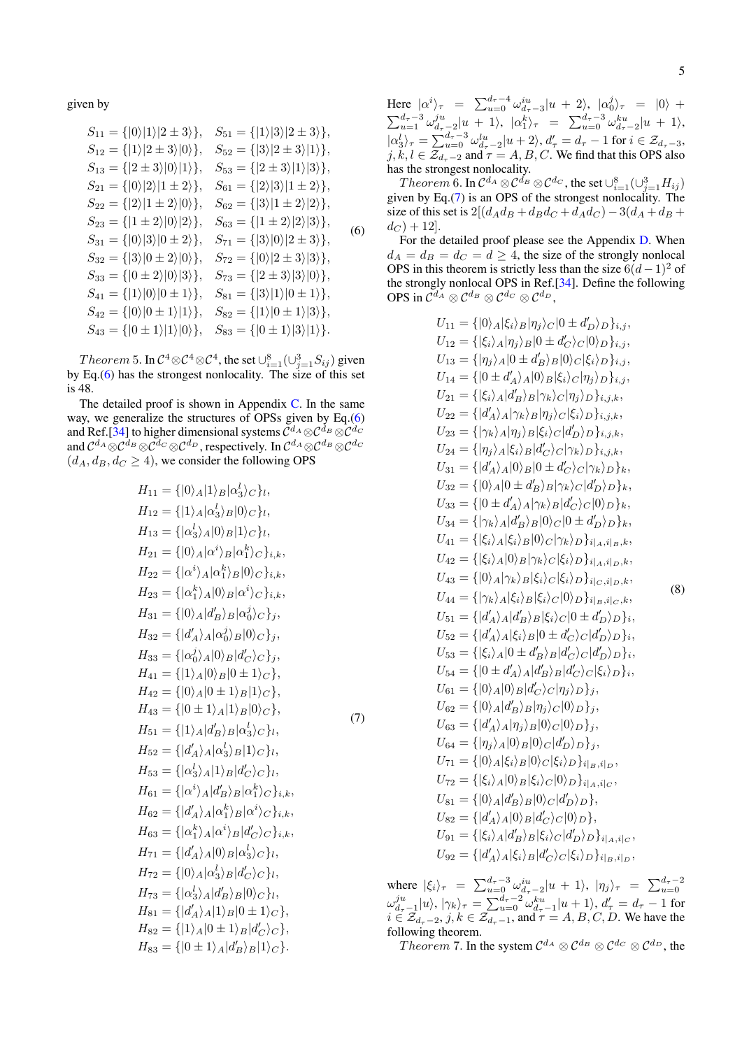given by

<span id="page-4-0"></span>
$$
S_{11} = \{ |0\rangle |1\rangle |2 \pm 3\rangle \}, \quad S_{51} = \{ |1\rangle |3\rangle |2 \pm 3\rangle \},
$$
\n
$$
S_{12} = \{ |1\rangle |2 \pm 3\rangle |0\rangle \}, \quad S_{52} = \{ |3\rangle |2 \pm 3\rangle |1\rangle \},
$$
\n
$$
S_{13} = \{ |2 \pm 3\rangle |0\rangle |1\rangle \}, \quad S_{53} = \{ |2 \pm 3\rangle |1\rangle |3\rangle \},
$$
\n
$$
S_{21} = \{ |0\rangle |2\rangle |1 \pm 2\rangle \}, \quad S_{61} = \{ |2\rangle |3\rangle |1 \pm 2\rangle \},
$$
\n
$$
S_{22} = \{ |2\rangle |1 \pm 2\rangle |0\rangle \}, \quad S_{62} = \{ |3\rangle |1 \pm 2\rangle |2\rangle \},
$$
\n
$$
S_{23} = \{ |1 \pm 2\rangle |0\rangle |2\rangle \}, \quad S_{63} = \{ |1 \pm 2\rangle |2\rangle |3\rangle \},
$$
\n
$$
S_{31} = \{ |0\rangle |3\rangle |0 \pm 2\rangle \}, \quad S_{71} = \{ |3\rangle |0\rangle |2 \pm 3\rangle \},
$$
\n
$$
S_{32} = \{ |3\rangle |0 \pm 2\rangle |0\rangle \}, \quad S_{72} = \{ |0\rangle |2 \pm 3\rangle |3\rangle \},
$$
\n
$$
S_{33} = \{ |0 \pm 2\rangle |0\rangle |3\rangle \}, \quad S_{73} = \{ |2 \pm 3\rangle |3\rangle |0\rangle \},
$$
\n
$$
S_{41} = \{ |1\rangle |0\rangle |0 \pm 1\rangle \}, \quad S_{81} = \{ |3\rangle |1\rangle |0 \pm 1\rangle \},
$$
\n
$$
S_{42} = \{ |0\rangle |0 \pm 1\rangle |1\rangle \}, \quad S_{83} = \{ |0 \pm 1\rangle |3\rangle \},
$$
\n
$$
S_{43} = \{ |0 \pm 1\rangle |1\rangle |0\rangle \}, \quad S_{83} = \{ |0 \pm 1\rangle |3\rangle |1\rangle.
$$

 $Theorem~5.$  In  $\mathcal{C}^4{ \otimes} \mathcal{C}^4{ \otimes} \mathcal{C}^4,$  the set  $\cup_{i=1}^8(\cup_{j=1}^3 S_{ij})$  given by Eq.[\(6\)](#page-4-0) has the strongest nonlocality. The size of this set is 48.

The detailed proof is shown in Appendix  $C$ . In the same way, we generalize the structures of OPSs given by Eq.[\(6\)](#page-4-0) and Ref.[\[34\]](#page-13-23) to higher dimensional systems  $\mathcal{C}^{d_A}\otimes\mathcal{C}^{d_B}\otimes\mathcal{C}^{d_C}$ and  $\mathcal{C}^{d_A}\otimes\mathcal{C}^{d_B}\otimes\mathcal{C}^{d_C}\otimes\mathcal{C}^{d_D}$  , respectively. In  $\mathcal{C}^{d_A}\otimes\mathcal{C}^{d_B}\otimes\mathcal{C}^{d_C}$  $(d_A, d_B, d_C \geq 4)$ , we consider the following OPS

$$
H_{11} = \{ |0\rangle_A | 1\rangle_B | \alpha_3^l \rangle_C \},
$$
  
\n
$$
H_{12} = \{ |1\rangle_A | \alpha_3^l \rangle_B | 0\rangle_C \},
$$
  
\n
$$
H_{13} = \{ | \alpha_3^l \rangle_A | 0\rangle_B | 1\rangle_C \},
$$
  
\n
$$
H_{21} = \{ |0\rangle_A | \alpha^i \rangle_B | \alpha_1^k \rangle_C \},
$$
  
\n
$$
H_{22} = \{ | \alpha^i \rangle_A | \alpha_1^k \rangle_B | 0\rangle_C \},
$$
  
\n
$$
H_{23} = \{ | \alpha^i \rangle_A | 0\rangle_B | \alpha^i \rangle_C \},
$$
  
\n
$$
H_{31} = \{ |0\rangle_A | d_B^l \rangle_B | \alpha_0^j \rangle_C \},
$$
  
\n
$$
H_{32} = \{ |d_A^l \rangle_A | 0\rangle_B | \alpha_0^j \rangle_C \},
$$
  
\n
$$
H_{33} = \{ | \alpha_0^j \rangle_A | 0\rangle_B | d_C^l \rangle_C \},
$$
  
\n
$$
H_{34} = \{ |0\rangle_A | 0\rangle_B | 0 \pm 1\rangle_C \},
$$
  
\n
$$
H_{42} = \{ |0\rangle_A | 0 \pm 1\rangle_B | 1\rangle_C \},
$$
  
\n
$$
H_{43} = \{ |0 \pm 1\rangle_A | 1\rangle_B | 0\rangle_C \},
$$
  
\n
$$
H_{52} = \{ |d_A^l \rangle_A | \alpha_3^l \rangle_B | \alpha_3^l \rangle_C \},
$$
  
\n
$$
H_{53} = \{ | \alpha_3^l \rangle_A | 1\rangle_B | d_C^l \rangle_C \},
$$
  
\n
$$
H_{54} = \{ | \alpha_4^l \rangle_A | \alpha_3^l \rangle_B | 1\rangle_C \},
$$
  
\n
$$
H_{55} = \{ | \alpha_4^l \rangle_A | \alpha_4^l \rangle_B | \alpha_4^l \rangle_C \},
$$
  
\n
$$
H_{56} = \{ | \alpha_4^l \rangle_A | \alpha_4^l \rangle_B | \alpha_
$$

<span id="page-4-2"></span><span id="page-4-1"></span>(7)

Here  $\left| \alpha^i \right\rangle_{\tau} = \sum_{u=0}^{d_{\tau}-4} \omega_{d_{\tau}-3}^{iu} |u+2\rangle, \left| \alpha_0^j \right\rangle_{\tau} = \left| 0 \right\rangle +$ 

 $\sum_{u=1}^{d_{\tau}-3} \omega_{d_{\tau}-2}^{ju} |u+1\rangle, \, |\alpha_{1}^{k}\rangle_{\tau} = \sum_{u=0}^{d_{\tau}-3} \omega_{d_{\tau}-2}^{ku} |u+1\rangle,$  $\left|\alpha_{3}^{l}\right\rangle_{\tau} = \sum_{u=0}^{d_{\tau}-3} \omega_{d_{\tau}-2}^{lu} \left|u+2\right\rangle, d_{\tau}' = d_{\tau}-1 \text{ for } i \in \mathcal{Z}_{d_{\tau}-3},$  $j, k, l \in \mathcal{Z}_{d_{\tau}-2}$  and  $\tau = A, B, C$ . We find that this OPS also has the strongest nonlocality.

 $Theorem~6.$  In  $\mathcal{C}^{d_A}\otimes\mathcal{C}^{d_B}\otimes\mathcal{C}^{d_C},$  the set  $\cup_{i=1}^8 (\cup_{j=1}^3 H_{ij})$ given by Eq.[\(7\)](#page-4-1) is an OPS of the strongest nonlocality. The size of this set is  $2[(d_A d_B + d_B d_C + d_A d_C) - 3(d_A + d_B +$  $d_C$  + 12.

For the detailed proof please see the Appendix [D.](#page-7-0) When  $d_A = d_B = d_C = d \geq 4$ , the size of the strongly nonlocal OPS in this theorem is strictly less than the size  $6(d-1)^2$  of the strongly nonlocal OPS in Ref.[\[34\]](#page-13-23). Define the following OPS in  $\mathcal{C}^{d_A} \otimes \mathcal{C}^{d_B} \otimes \mathcal{C}^{d_C} \otimes \mathcal{C}^{d_D},$ 

$$
U_{11} = \{ |0\rangle_A | \xi_i \rangle_B | \eta_j \rangle_C | 0 \pm d'_{D} \rangle_D \}_{i,j},
$$
  
\n
$$
U_{12} = \{ | \xi_i \rangle_A | \eta_j \rangle_B | 0 \pm d'_{C} \rangle_C | 0 \rangle_D \}_{i,j},
$$
  
\n
$$
U_{13} = \{ | \eta_j \rangle_A | 0 \pm d'_{B} \rangle_B | 0 \rangle_C | \xi_i \rangle_D \}_{i,j},
$$
  
\n
$$
U_{14} = \{ |0 \pm d'_{A} \rangle_A | 0 \rangle_B | \xi_i \rangle_C | \eta_j \rangle_D \}_{i,j},
$$
  
\n
$$
U_{21} = \{ | \xi_i \rangle_A | d'_{B} \rangle_B | \gamma_k \rangle_C | \eta_j \rangle_D \}_{i,j,k},
$$
  
\n
$$
U_{22} = \{ | d'_{A} \rangle_A | \gamma_k \rangle_B | \eta_j \rangle_C | \xi_i \rangle_D \}_{i,j,k},
$$
  
\n
$$
U_{23} = \{ | \gamma_k \rangle_A | \eta_j \rangle_B | \xi_i \rangle_C | d'_{D} \rangle_D \}_{i,j,k},
$$
  
\n
$$
U_{34} = \{ | \eta_j \rangle_A | \xi_i \rangle_B | d'_{C} \rangle_C | \gamma_k \rangle_D \}_k,
$$
  
\n
$$
U_{32} = \{ | 0 \rangle_A | 0 \pm d'_{B} \rangle_B | \gamma_k \rangle_C | d'_{D} \rangle_D \}_k,
$$
  
\n
$$
U_{33} = \{ | 0 \pm d'_{A} \rangle_A | \gamma_k \rangle_B | d'_{C} \rangle_C | 0 \rangle_D \}_k,
$$
  
\n
$$
U_{34} = \{ | \gamma_k \rangle_A | d'_{B} \rangle_B | 0 \rangle_C | 0 \pm d'_{D} \rangle_D \}_k,
$$
  
\n
$$
U_{35} = \{ | 0 \pm d'_{A} \rangle_A | \gamma_k \rangle_B | d'_{C} \rangle_C | 0 \rangle_D \}_k,
$$
  
\n
$$
U_{36} = \{ | \xi_i \rangle_A | 0 \rangle_B | \gamma_k \rangle_C | \xi_i \rangle_D \}_i |_{i,A} \xi_i \rangle_E,
$$
  
\n
$$
U_{41} = \{ | \xi_k \rangle_A
$$

where  $|\xi_i\rangle_{\tau} = \sum_{u=0}^{d_{\tau}-3} \omega_{d_{\tau}-2}^{iu}|u+1\rangle, |\eta_j\rangle_{\tau} = \sum_{u=0}^{d_{\tau}-2}$  $\omega_{d_{\tau}-1}^{ju}|u\rangle,|\gamma_{k}\rangle_{\tau} = \sum_{u=0}^{d_{\tau}-2} \omega_{d_{\tau}-1}^{ku}|u+1\rangle, d_{\tau}' = d_{\tau}-1$  for  $i \in \overline{\mathcal{Z}}_{d_{\tau}-2}, j, k \in \overline{\mathcal{Z}}_{d_{\tau}-1}$ , and  $\tau = A, B, C, D$ . We have the following theorem.

*Theorem* 7. In the system  $C^{d_A} \otimes C^{d_B} \otimes C^{d_C} \otimes C^{d_D}$ , the

(8)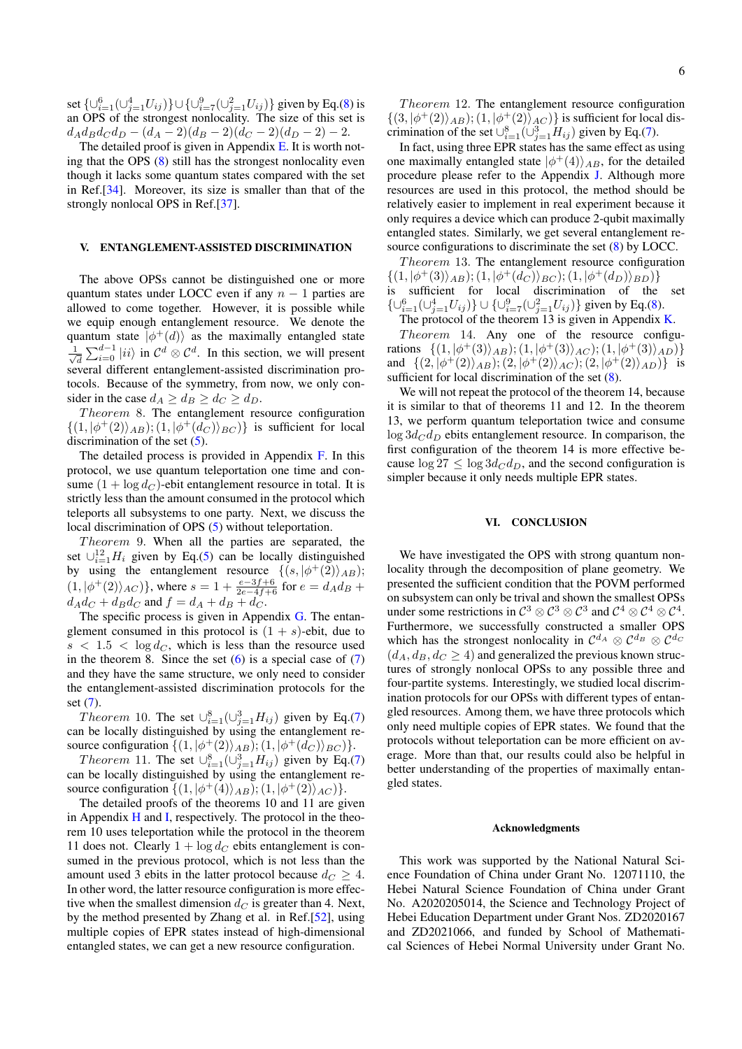set  $\{ \cup_{i=1}^6 (\cup_{j=1}^4 U_{ij}) \} \cup \{ \cup_{i=7}^9 (\cup_{j=1}^2 U_{ij}) \}$  given by Eq.[\(8\)](#page-4-2) is an OPS of the strongest nonlocality. The size of this set is  $d_{A}d_{B}d_{C}d_{D} - (d_{A}-2)(d_{B}-2)(d_{C}-2)(d_{D}-2) - 2.$ 

The detailed proof is given in Appendix  $E$ . It is worth noting that the OPS  $(8)$  still has the strongest nonlocality even though it lacks some quantum states compared with the set in Ref.[\[34\]](#page-13-23). Moreover, its size is smaller than that of the strongly nonlocal OPS in Ref.[\[37\]](#page-13-21).

#### <span id="page-5-0"></span>V. ENTANGLEMENT-ASSISTED DISCRIMINATION

The above OPSs cannot be distinguished one or more quantum states under LOCC even if any  $n - 1$  parties are allowed to come together. However, it is possible while we equip enough entanglement resource. We denote the quantum state  $|\phi^+(d)\rangle$  as the maximally entangled state  $\frac{1}{\sqrt{2}}$  $\frac{d}{d} \sum_{i=0}^{d-1} |ii\rangle$  in  $C^d \otimes C^d$ . In this section, we will present several different entanglement-assisted discrimination protocols. Because of the symmetry, from now, we only consider in the case  $d_A \geq d_B \geq d_C \geq d_D$ .

 $Theorem 8.$  The entanglement resource configuration  $\{(1, |\phi^+(2)\rangle_{AB}); (1, |\phi^+(d_C)\rangle_{BC})\}$  is sufficient for local discrimination of the set  $(5)$ .

The detailed process is provided in Appendix [F.](#page-8-0) In this protocol, we use quantum teleportation one time and consume  $(1 + \log d_C)$ -ebit entanglement resource in total. It is strictly less than the amount consumed in the protocol which teleports all subsystems to one party. Next, we discuss the local discrimination of OPS [\(5\)](#page-3-2) without teleportation.

 $Theorem 9$ . When all the parties are separated, the set  $\cup_{i=1}^{12} H_i$  given by Eq.[\(5\)](#page-3-2) can be locally distinguished by using the entanglement resource  $\{(s, |\phi^+(2)\rangle_{AB})$ ;  $(1, |\phi^+(2)\rangle_{AC})\},$  where  $s = 1 + \frac{e-3f+6}{2e-4f+6}$  for  $e = d_A d_B +$  $d_{A}d_{C} + d_{B}d_{C}$  and  $f = d_{A} + d_{B} + d_{C}$ .

The specific process is given in Appendix  $G$ . The entanglement consumed in this protocol is  $(1 + s)$ -ebit, due to  $s < 1.5 < \log d_C$ , which is less than the resource used in the theorem 8. Since the set  $(6)$  is a special case of  $(7)$ and they have the same structure, we only need to consider the entanglement-assisted discrimination protocols for the set [\(7\)](#page-4-1).

*Theorem* 10. The set  $\cup_{i=1}^{8}(\cup_{j=1}^{3}H_{ij})$  given by Eq.[\(7\)](#page-4-1) can be locally distinguished by using the entanglement resource configuration  $\{(1, |\phi^+(2)\rangle_{AB}); (1, |\phi^+(d_C)\rangle_{BC})\}.$ 

*Theorem* 11. The set  $\cup_{i=1}^{8}(\cup_{j=1}^{3}H_{ij})$  given by Eq.[\(7\)](#page-4-1) can be locally distinguished by using the entanglement resource configuration  $\{(1, |\phi^+(4)\rangle_{AB}); (1, |\phi^+(2)\rangle_{AC})\}.$ 

The detailed proofs of the theorems 10 and 11 are given in Appendix [H](#page-9-0) and [I,](#page-10-0) respectively. The protocol in the theorem 10 uses teleportation while the protocol in the theorem 11 does not. Clearly  $1 + \log d_C$  ebits entanglement is consumed in the previous protocol, which is not less than the amount used 3 ebits in the latter protocol because  $d_C \geq 4$ . In other word, the latter resource configuration is more effective when the smallest dimension  $d_C$  is greater than 4. Next, by the method presented by Zhang et al. in Ref.[\[52\]](#page-14-2), using multiple copies of EPR states instead of high-dimensional entangled states, we can get a new resource configuration.

Theorem 12. The entanglement resource configuration  $\{(3, |\phi^+(2)\rangle_{AB}); (1, |\phi^+(2)\rangle_{AC})\}$  is sufficient for local discrimination of the set  $\cup_{i=1}^{8}(\cup_{j=1}^{3}H_{ij})$  given by Eq.[\(7\)](#page-4-1).

In fact, using three EPR states has the same effect as using one maximally entangled state  $|\phi^+(4)\rangle_{AB}$ , for the detailed procedure please refer to the Appendix [J.](#page-11-0) Although more resources are used in this protocol, the method should be relatively easier to implement in real experiment because it only requires a device which can produce 2-qubit maximally entangled states. Similarly, we get several entanglement resource configurations to discriminate the set [\(8\)](#page-4-2) by LOCC.

Theorem 13. The entanglement resource configuration  $\{(1,|\phi^+(3)\rangle_{AB});(1,|\phi^+(d_C)\rangle_{BC});(1,|\phi^+(d_D)\rangle_{BD})\}$ is sufficient for local discrimination of the set  $\{ \cup_{i=1}^6 (\cup_{j=1}^4 U_{ij}) \} \cup \{ \cup_{i=7}^9 (\cup_{j=1}^2 U_{ij}) \}$  given by Eq.[\(8\)](#page-4-2).

The protocol of the theorem 13 is given in Appendix  $K$ . Theorem 14. Any one of the resource configurations  $\{(1, |\phi^+(3)\rangle_{AB}); (1, |\phi^+(3)\rangle_{AC}); (1, |\phi^+(3)\rangle_{AD})\}$ and  $\{(2, |\phi^+(2)\rangle_{AB}); (2, |\phi^+(2)\rangle_{AC}); (2, |\phi^+(2)\rangle_{AD})\}$  is sufficient for local discrimination of the set  $(8)$ .

We will not repeat the protocol of the theorem 14, because it is similar to that of theorems 11 and 12. In the theorem 13, we perform quantum teleportation twice and consume  $\log 3d_C d_D$  ebits entanglement resource. In comparison, the first configuration of the theorem 14 is more effective because  $\log 27 \leq \log 3d_C d_D$ , and the second configuration is simpler because it only needs multiple EPR states.

### <span id="page-5-1"></span>VI. CONCLUSION

We have investigated the OPS with strong quantum nonlocality through the decomposition of plane geometry. We presented the sufficient condition that the POVM performed on subsystem can only be trival and shown the smallest OPSs under some restrictions in  $C^3 \otimes C^3 \otimes C^3$  and  $C^4 \otimes C^4 \otimes C^4$ . Furthermore, we successfully constructed a smaller OPS which has the strongest nonlocality in  $\mathcal{C}^{d_A} \otimes \mathcal{C}^{d_B} \otimes \mathcal{C}^{d_C}$  $(d_A, d_B, d_C \geq 4)$  and generalized the previous known structures of strongly nonlocal OPSs to any possible three and four-partite systems. Interestingly, we studied local discrimination protocols for our OPSs with different types of entangled resources. Among them, we have three protocols which only need multiple copies of EPR states. We found that the protocols without teleportation can be more efficient on average. More than that, our results could also be helpful in better understanding of the properties of maximally entangled states.

#### Acknowledgments

This work was supported by the National Natural Science Foundation of China under Grant No. 12071110, the Hebei Natural Science Foundation of China under Grant No. A2020205014, the Science and Technology Project of Hebei Education Department under Grant Nos. ZD2020167 and ZD2021066, and funded by School of Mathematical Sciences of Hebei Normal University under Grant No.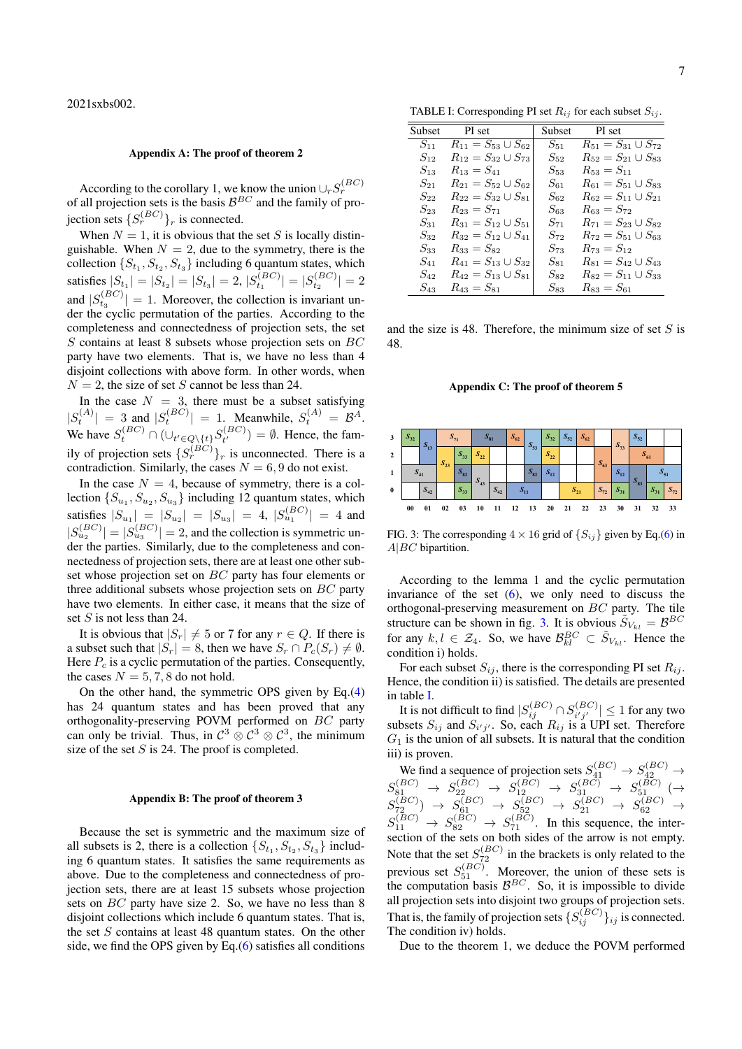### <span id="page-6-0"></span>Appendix A: The proof of theorem 2

According to the corollary 1, we know the union  $\bigcup_r S_r^{(BC)}$ <br>of all projection sets is the basis  $\mathcal{B}^{BC}$  and the family of projection sets  $\{S_r^{(BC)}\}_r$  is connected.

When  $N = 1$ , it is obvious that the set S is locally distinguishable. When  $N = 2$ , due to the symmetry, there is the collection  $\{S_{t_1}, S_{t_2}, S_{t_3}\}\$  including 6 quantum states, which satisfies  $|S_{t_1}| = |S_{t_2}| = |S_{t_3}| = 2, |S_{t_1}^{(BC)}| = |S_{t_2}^{(BC)}| = 2$  $t_1$   $| - | \nu_{t_2}|$ and  $|S_{t_3}^{(BC)}| = 1$ . Moreover, the collection is invariant under the cyclic permutation of the parties. According to the completeness and connectedness of projection sets, the set  $S$  contains at least 8 subsets whose projection sets on  $BC$ party have two elements. That is, we have no less than 4 disjoint collections with above form. In other words, when  $N = 2$ , the size of set S cannot be less than 24.

In the case  $N = 3$ , there must be a subset satisfying  $|S_t^{(A)}| = 3$  and  $|S_t^{(BC)}| = 1$ . Meanwhile,  $S_t^{(A)} = \mathcal{B}^A$ . We have  $S_t^{(BC)} \cap (\cup_{t' \in Q \setminus \{t\}} S_{t'}^{(BC)})$  $t^{(DC)}$ ) =  $\emptyset$ . Hence, the family of projection sets  $\{S_r^{(BC)}\}_r$  is unconnected. There is a contradiction. Similarly, the cases  $N = 6, 9$  do not exist.

In the case  $N = 4$ , because of symmetry, there is a collection  $\{S_{u_1}, S_{u_2}, S_{u_3}\}\$ including 12 quantum states, which satisfies  $|S_{u_1}| = |S_{u_2}| = |S_{u_3}| = 4$ ,  $|S_{u_1}^{(BC)}| = 4$  and  $|S_{u_2}^{(BC)}| = |S_{u_3}^{(BC)}| = 2$ , and the collection is symmetric under the parties. Similarly, due to the completeness and connectedness of projection sets, there are at least one other subset whose projection set on BC party has four elements or three additional subsets whose projection sets on  $BC$  party have two elements. In either case, it means that the size of set  $S$  is not less than 24.

It is obvious that  $|S_r| \neq 5$  or 7 for any  $r \in Q$ . If there is a subset such that  $|S_r| = 8$ , then we have  $S_r \cap P_c(S_r) \neq \emptyset$ . Here  $P_c$  is a cyclic permutation of the parties. Consequently, the cases  $N = 5, 7, 8$  do not hold.

On the other hand, the symmetric OPS given by Eq.[\(4\)](#page-2-0) has 24 quantum states and has been proved that any orthogonality-preserving POVM performed on BC party can only be trivial. Thus, in  $C^3 \otimes C^3 \otimes C^3$ , the minimum size of the set  $S$  is 24. The proof is completed.

### <span id="page-6-1"></span>Appendix B: The proof of theorem 3

Because the set is symmetric and the maximum size of all subsets is 2, there is a collection  $\{S_{t_1}, S_{t_2}, S_{t_3}\}\$  including 6 quantum states. It satisfies the same requirements as above. Due to the completeness and connectedness of projection sets, there are at least 15 subsets whose projection sets on BC party have size 2. So, we have no less than 8 disjoint collections which include 6 quantum states. That is, the set  $S$  contains at least 48 quantum states. On the other side, we find the OPS given by Eq.[\(6\)](#page-4-0) satisfies all conditions

<span id="page-6-4"></span>

| <b>Subset</b> | PI set                                   | <b>Subset</b> | PI set                        |
|---------------|------------------------------------------|---------------|-------------------------------|
| $S_{11}$      | $\overline{R_{11}} = S_{53} \cup S_{62}$ | $S_{\rm 51}$  | $R_{51} = S_{31} \cup S_{72}$ |
| $S_{12}$      | $R_{12} = S_{32} \cup S_{73}$            | $S_{\rm 52}$  | $R_{52} = S_{21} \cup S_{83}$ |
| $S_{13}$      | $R_{13} = S_{41}$                        | $S_{53}$      | $R_{53} = S_{11}$             |
| $S_{21}$      | $R_{21} = S_{52} \cup S_{62}$            | $S_{61}$      | $R_{61} = S_{51} \cup S_{83}$ |
| $S_{22}$      | $R_{22} = S_{32} \cup S_{81}$            | $S_{62}$      | $R_{62} = S_{11} \cup S_{21}$ |
| $S_{23}$      | $R_{23} = S_{71}$                        | $S_{63}$      | $R_{63} = S_{72}$             |
| $S_{31}$      | $R_{31} = S_{12} \cup S_{51}$            | $S_{71}$      | $R_{71} = S_{23} \cup S_{82}$ |
| $S_{32}$      | $R_{32} = S_{12} \cup S_{41}$            | $S_{72}$      | $R_{72} = S_{51} \cup S_{63}$ |
| $S_{33}$      | $R_{33} = S_{82}$                        | $S_{73}$      | $R_{73} = S_{12}$             |
| $S_{41}$      | $R_{41} = S_{13} \cup S_{32}$            | $S_{81}$      | $R_{81} = S_{42} \cup S_{43}$ |
| $S_{42}$      | $R_{42} = S_{13} \cup S_{81}$            | $S_{82}$      | $R_{82} = S_{11} \cup S_{33}$ |
| $S_{43}$      | $R_{43} = S_{81}$                        | $S_{83}$      | $R_{83} = S_{61}$             |

and the size is 48. Therefore, the minimum size of set  $S$  is 48.

<span id="page-6-2"></span>Appendix C: The proof of theorem 5



<span id="page-6-3"></span>FIG. 3: The corresponding  $4 \times 16$  grid of  $\{S_{ij}\}\$  given by Eq.[\(6\)](#page-4-0) in  $A|BC$  bipartition.

According to the lemma 1 and the cyclic permutation invariance of the set  $(6)$ , we only need to discuss the orthogonal-preserving measurement on BC party. The tile structure can be shown in fig. [3.](#page-6-3) It is obvious  $\tilde{S}_{V_{kl}} = \mathcal{B}^{BC}$ for any  $k, l \in \mathcal{Z}_4$ . So, we have  $\mathcal{B}^{BC}_{kl} \subset \tilde{S}_{V_{kl}}$ . Hence the condition i) holds.

For each subset  $S_{ij}$ , there is the corresponding PI set  $R_{ij}$ . Hence, the condition ii) is satisfied. The details are presented in table [I.](#page-6-4)

It is not difficult to find  $|S_{ij}^{(BC)} \cap S_{i'j'}^{(BC)}|$  $\left|\sum_{i'j'}^{(DC)}\right| \leq 1$  for any two subsets  $S_{ij}$  and  $S_{i'j'}$ . So, each  $R_{ij}$  is a UPI set. Therefore  $G_1$  is the union of all subsets. It is natural that the condition iii) is proven.

We find a sequence of projection sets  $S_{41}^{(BC)} \rightarrow S_{42}^{(BC)} \rightarrow$  $S_{81}^{(BC)} \rightarrow S_{22}^{(BC)} \rightarrow S_{12}^{(BC)} \rightarrow S_{31}^{(BC)} \rightarrow S_{51}^{(BC)} \rightarrow$  $S_{72}^{(BC)}~\to~S_{61}^{(BC)}~\to~S_{52}^{(BC)}~\to~S_{21}^{(BC)}~\to~S_{62}^{(BC)}~\to~$  $S_{11}^{(BC)} \rightarrow S_{82}^{(BC)} \rightarrow S_{71}^{(BC)}$ . In this sequence, the intersection of the sets on both sides of the arrow is not empty. Note that the set  $S_{72}^{(BC)}$  in the brackets is only related to the previous set  $S_{51}^{(BC)}$ . Moreover, the union of these sets is the computation basis  $\mathcal{B}^{BC}$ . So, it is impossible to divide all projection sets into disjoint two groups of projection sets. That is, the family of projection sets  $\{S_{ij}^{(BC)}\}_{ij}$  is connected. The condition iv) holds.

Due to the theorem 1, we deduce the POVM performed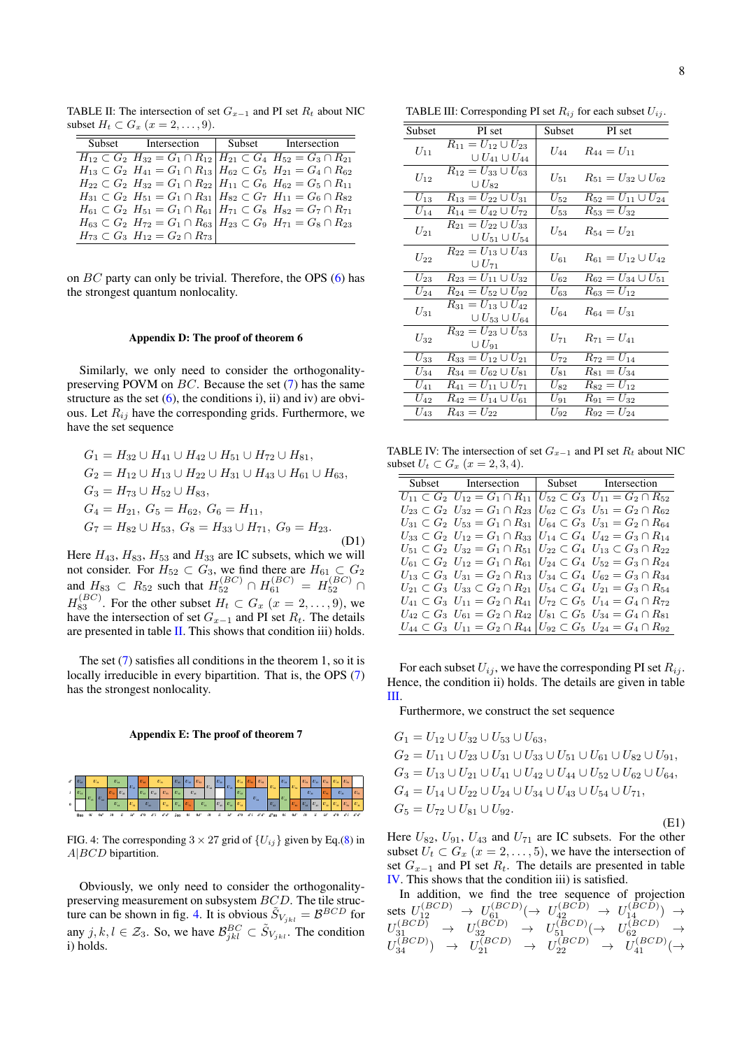TABLE II: The intersection of set  $G_{x-1}$  and PI set  $R_t$  about NIC subset  $H_t \subset G_x$   $(x = 2, \ldots, 9)$ .

<span id="page-7-2"></span>

| Subset Intersection Subset Intersection                                                         |  |
|-------------------------------------------------------------------------------------------------|--|
| $H_{12} \subset G_2$ $H_{32} = G_1 \cap R_{12}$ $H_{21} \subset G_4$ $H_{52} = G_3 \cap R_{21}$ |  |
| $H_{13} \subset G_2$ $H_{41} = G_1 \cap R_{13}$ $H_{62} \subset G_5$ $H_{21} = G_4 \cap R_{62}$ |  |
| $H_{22} \subset G_2$ $H_{32} = G_1 \cap R_{22}$ $H_{11} \subset G_6$ $H_{62} = G_5 \cap R_{11}$ |  |
| $H_{31} \subset G_2$ $H_{51} = G_1 \cap R_{31}$ $H_{82} \subset G_7$ $H_{11} = G_6 \cap R_{82}$ |  |
| $H_{61} \subset G_2$ $H_{51} = G_1 \cap R_{61}$ $H_{71} \subset G_8$ $H_{82} = G_7 \cap R_{71}$ |  |
| $H_{63} \subset G_2$ $H_{72} = G_1 \cap R_{63}$ $H_{23} \subset G_9$ $H_{71} = G_8 \cap R_{23}$ |  |
| $H_{73} \subset G_3$ $H_{12} = G_2 \cap R_{73}$                                                 |  |

on  $BC$  party can only be trivial. Therefore, the OPS  $(6)$  has the strongest quantum nonlocality.

#### <span id="page-7-0"></span>Appendix D: The proof of theorem 6

Similarly, we only need to consider the orthogonalitypreserving POVM on  $BC$ . Because the set  $(7)$  has the same structure as the set  $(6)$ , the conditions i), ii) and iv) are obvious. Let  $R_{ij}$  have the corresponding grids. Furthermore, we have the set sequence

$$
G_1 = H_{32} \cup H_{41} \cup H_{42} \cup H_{51} \cup H_{72} \cup H_{81},
$$
  
\n
$$
G_2 = H_{12} \cup H_{13} \cup H_{22} \cup H_{31} \cup H_{43} \cup H_{61} \cup H_{63},
$$
  
\n
$$
G_3 = H_{73} \cup H_{52} \cup H_{83},
$$
  
\n
$$
G_4 = H_{21}, G_5 = H_{62}, G_6 = H_{11},
$$
  
\n
$$
G_7 = H_{82} \cup H_{53}, G_8 = H_{33} \cup H_{71}, G_9 = H_{23}.
$$
  
\n(D1)

Here  $H_{43}$ ,  $H_{83}$ ,  $H_{53}$  and  $H_{33}$  are IC subsets, which we will not consider. For  $H_{52} \subset G_3$ , we find there are  $H_{61} \subset G_2$ and  $H_{83} \,\subset R_{52}$  such that  $H_{52}^{(BC)} \cap H_{61}^{(BC)} = H_{52}^{(BC)} \cap R_{61}^{(BC)}$  $H_{83}^{(BC)}$ . For the other subset  $H_t \subset G_x$   $(x = 2, \ldots, 9)$ , we have the intersection of set  $G_{x-1}$  and PI set  $R_t$ . The details are presented in table [II.](#page-7-2) This shows that condition iii) holds.

The set [\(7\)](#page-4-1) satisfies all conditions in the theorem 1, so it is locally irreducible in every bipartition. That is, the OPS [\(7\)](#page-4-1) has the strongest nonlocality.

<span id="page-7-1"></span>Appendix E: The proof of theorem 7



<span id="page-7-3"></span>FIG. 4: The corresponding  $3 \times 27$  grid of  $\{U_{ij}\}\$  given by Eq.[\(8\)](#page-4-2) in  $A|BCD$  bipartition.

Obviously, we only need to consider the orthogonalitypreserving measurement on subsystem BCD. The tile struc-ture can be shown in fig. [4.](#page-7-3) It is obvious  $\tilde{S}_{V_{jkl}} = \mathcal{B}^{BCD}$  for any  $j, k, l \in \mathcal{Z}_3$ . So, we have  $\mathcal{B}_{jkl}^{BC} \subset \tilde{S}_{V_{jkl}}$ . The condition i) holds.

<span id="page-7-4"></span>TABLE III: Corresponding PI set  $R_{ij}$  for each subset  $U_{ij}$ .

| Subset   | PI set                                                                | Subset       | PI set                                   |
|----------|-----------------------------------------------------------------------|--------------|------------------------------------------|
| $U_{11}$ | $R_{11} = U_{12} \cup U_{23}$<br>$\cup U_{41} \cup U_{44}$            | $U_{44}$     | $R_{44} = U_{11}$                        |
| $U_{12}$ | $R_{12} = U_{33} \cup U_{63}$<br>$\cup U_{82}$                        | $U_{51}$     | $R_{51} = U_{32} \cup U_{62}$            |
| $U_{13}$ | $R_{13} = U_{22} \cup U_{31}$                                         | $U_{52}$     | $\overline{R_{52}} = U_{11} \cup U_{24}$ |
| $U_{14}$ | $R_{14} = U_{42} \cup U_{72}$                                         | $U_{53}$     | $R_{53} = U_{32}$                        |
| $U_{21}$ | $R_{21} = U_{22} \cup U_{33}$<br>$\cup U_{51} \cup U_{54}$            | $U_{\rm 54}$ | $R_{54} = U_{21}$                        |
| $U_{22}$ | $R_{22}=U_{13}\cup U_{43}$<br>$\cup U_{71}$                           | $U_{61}$     | $R_{61} = U_{12} \cup U_{42}$            |
| $U_{23}$ | $\overline{R_{23}} = U_{11} \cup U_{32}$                              | $U_{62}$     | $R_{62} = U_{34} \cup U_{51}$            |
| $U_{24}$ | $R_{24} = U_{52} \cup U_{92}$                                         | $U_{63}$     | $R_{63} = U_{12}$                        |
| $U_{31}$ | $\overline{R_{31}} = U_{13} \cup U_{42}$<br>$\cup U_{53} \cup U_{64}$ | $U_{64}$     | $R_{64} = U_{31}$                        |
| $U_{32}$ | $R_{32} = U_{23} \cup U_{53}$<br>$\cup U_{91}$                        | $U_{71}$     | $R_{71} = U_{41}$                        |
| $U_{33}$ | $R_{33} = U_{12} \cup U_{21}$                                         | $U_{\rm 72}$ | $R_{72} = U_{14}$                        |
| $U_{34}$ | $R_{34} = U_{62} \cup U_{81}$                                         | $U_{81}$     | $R_{81} = U_{34}$                        |
| $U_{41}$ | $R_{41} = U_{11} \cup U_{71}$                                         | $U_{82}$     | $R_{82} = U_{12}$                        |
| $U_{42}$ | $R_{42} = U_{14} \cup U_{61}$                                         | $U_{91}$     | $R_{91} = U_{32}$                        |
| $U_{43}$ | $R_{43} = U_{22}$                                                     | $U_{92}$     | $R_{92} = U_{24}$                        |

TABLE IV: The intersection of set  $G_{x-1}$  and PI set  $R_t$  about NIC subset  $U_t \subset G_x$   $(x = 2, 3, 4)$ .

<span id="page-7-5"></span>

| Subset Intersection Subset Intersection                                                                |  |
|--------------------------------------------------------------------------------------------------------|--|
| $U_{11} \subset G_2$ $U_{12} = G_1 \cap R_{11}$ $U_{52} \subset G_3$ $U_{11} = G_2 \cap R_{52}$        |  |
| $U_{23} \subset G_2$ $U_{32} = G_1 \cap R_{23}$ $ U_{62} \subset G_3$ $U_{51} = G_2 \cap R_{62}$       |  |
| $U_{31} \subset G_2$ $U_{53} = G_1 \cap R_{31}$ $ U_{64} \subset G_3$ $U_{31} = G_2 \cap R_{64}$       |  |
| $U_{33} \subset G_2$ $U_{12} = G_1 \cap R_{33}$ $U_{14} \subset G_4$ $U_{42} = G_3 \cap R_{14}$        |  |
| $U_{51} \subset G_2$ $U_{32} = G_1 \cap R_{51}$ $ U_{22} \subset G_4$ $U_{13} \subset G_3 \cap R_{22}$ |  |
| $U_{61} \subset G_2$ $U_{12} = G_1 \cap R_{61}$ $U_{24} \subset G_4$ $U_{52} = G_3 \cap R_{24}$        |  |
| $U_{13} \subset G_3$ $U_{31} = G_2 \cap R_{13}$ $U_{34} \subset G_4$ $U_{62} = G_3 \cap R_{34}$        |  |
| $U_{21} \subset G_3$ $U_{33} \subset G_2 \cap R_{21}$ $ U_{54} \subset G_4$ $U_{21} = G_3 \cap R_{54}$ |  |
| $U_{41} \subset G_3$ $U_{11} = G_2 \cap R_{41}$ $U_{72} \subset G_5$ $U_{14} = G_4 \cap R_{72}$        |  |
| $U_{42} \subset G_3$ $U_{61} = G_2 \cap R_{42}$ $ U_{81} \subset G_5$ $U_{34} = G_4 \cap R_{81}$       |  |
| $U_{44} \subset G_3$ $U_{11} = G_2 \cap R_{44}$ $ U_{92} \subset G_5$ $U_{24} = G_4 \cap R_{92}$       |  |

For each subset  $U_{ij}$ , we have the corresponding PI set  $R_{ij}$ . Hence, the condition ii) holds. The details are given in table [III.](#page-7-4)

Furthermore, we construct the set sequence

$$
G_1 = U_{12} \cup U_{32} \cup U_{53} \cup U_{63},
$$
  
\n
$$
G_2 = U_{11} \cup U_{23} \cup U_{31} \cup U_{33} \cup U_{51} \cup U_{61} \cup U_{82} \cup U_{91},
$$
  
\n
$$
G_3 = U_{13} \cup U_{21} \cup U_{41} \cup U_{42} \cup U_{44} \cup U_{52} \cup U_{62} \cup U_{64},
$$
  
\n
$$
G_4 = U_{14} \cup U_{22} \cup U_{24} \cup U_{34} \cup U_{43} \cup U_{54} \cup U_{71},
$$
  
\n
$$
G_5 = U_{72} \cup U_{81} \cup U_{92}.
$$
  
\n(E1)

Here  $U_{82}$ ,  $U_{91}$ ,  $U_{43}$  and  $U_{71}$  are IC subsets. For the other subset  $U_t \subset G_x$   $(x = 2, \ldots, 5)$ , we have the intersection of set  $G_{x-1}$  and PI set  $R_t$ . The details are presented in table [IV.](#page-7-5) This shows that the condition iii) is satisfied.

In addition, we find the tree sequence of projection sets  $U_{12}^{(BCD)} \rightarrow U_{61}^{(BCD)} (\rightarrow U_{42}^{(BCD)} \rightarrow U_{14}^{(BCD)}) \rightarrow$  $U_{31}^{(BCD)} \rightarrow U_{32}^{(BCD)} \rightarrow U_{51}^{(BCD)} (\rightarrow U_{62}^{(BCD)} \rightarrow$  $U_{34}^{(BCD)}$   $\rightarrow$   $U_{21}^{(BCD)}$   $\rightarrow$   $U_{22}^{(BCD)}$   $\rightarrow$   $U_{41}^{(BCD)}$   $\rightarrow$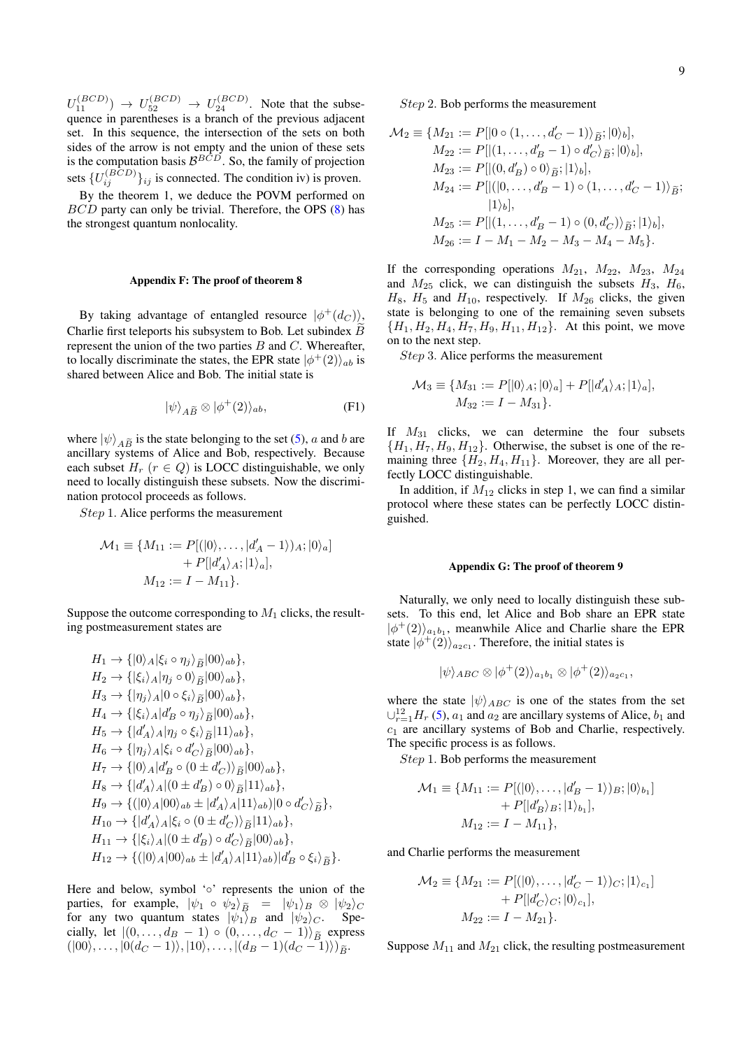$U_{11}^{(BCD)} \rightarrow U_{52}^{(BCD)} \rightarrow U_{24}^{(BCD)}$ . Note that the subsequence in parentheses is a branch of the previous adjacent set. In this sequence, the intersection of the sets on both sides of the arrow is not empty and the union of these sets is the computation basis  $\mathcal{B}^{BCD}$ . So, the family of projection sets  $\{U_{ij}^{(BCD)}\}_{ij}$  is connected. The condition iv) is proven.

By the theorem 1, we deduce the POVM performed on BCD party can only be trivial. Therefore, the OPS [\(8\)](#page-4-2) has the strongest quantum nonlocality.

## <span id="page-8-0"></span>Appendix F: The proof of theorem 8

By taking advantage of entangled resource  $|\phi^+(d_C)\rangle$ , Charlie first teleports his subsystem to Bob. Let subindex  $B$ represent the union of the two parties  $B$  and  $C$ . Whereafter, to locally discriminate the states, the EPR state  $|\phi^+(2)\rangle_{ab}$  is shared between Alice and Bob. The initial state is

$$
|\psi\rangle_{A\widetilde{B}} \otimes |\phi^+(2)\rangle_{ab},\tag{F1}
$$

where  $|\psi\rangle_{A\tilde{B}}$  is the state belonging to the set [\(5\)](#page-3-2), a and b are ancillary systems of Alice and Bob, respectively. Because each subset  $H_r$  ( $r \in Q$ ) is LOCC distinguishable, we only need to locally distinguish these subsets. Now the discrimination protocol proceeds as follows.

Step 1. Alice performs the measurement

$$
\mathcal{M}_1 \equiv \{ M_{11} := P[(|0\rangle, \dots, |d'_A - 1\rangle)_A; |0\rangle_a] + P[|d'_A\rangle_A; |1\rangle_a], M_{12} := I - M_{11}\}.
$$

Suppose the outcome corresponding to  $M_1$  clicks, the resulting postmeasurement states are

$$
H_1 \rightarrow \{ |0\rangle_A | \xi_i \circ \eta_j \rangle_{\widetilde{B}} |00\rangle_{ab} \},
$$
  
\n
$$
H_2 \rightarrow \{ | \xi_i \rangle_A | \eta_j \circ 0 \rangle_{\widetilde{B}} |00\rangle_{ab} \},
$$
  
\n
$$
H_3 \rightarrow \{ | \eta_j \rangle_A |0 \circ \xi_i \rangle_{\widetilde{B}} |00\rangle_{ab} \},
$$
  
\n
$$
H_4 \rightarrow \{ | \xi_i \rangle_A | d'_B \circ \eta_j \rangle_{\widetilde{B}} |00\rangle_{ab} \},
$$
  
\n
$$
H_5 \rightarrow \{ | d'_A \rangle_A | \eta_j \circ \xi_i \rangle_{\widetilde{B}} |11\rangle_{ab} \},
$$
  
\n
$$
H_6 \rightarrow \{ | \eta_j \rangle_A | \xi_i \circ d'_{C} \rangle_{\widetilde{B}} |00\rangle_{ab} \},
$$
  
\n
$$
H_7 \rightarrow \{ |0\rangle_A | d'_B \circ (0 \pm d'_C) \rangle_{\widetilde{B}} |00\rangle_{ab} \},
$$
  
\n
$$
H_8 \rightarrow \{ | d'_A \rangle_A | (0 \pm d'_B) \circ 0 \rangle_{\widetilde{B}} |11\rangle_{ab} \},
$$
  
\n
$$
H_9 \rightarrow \{ (|0\rangle_A |00\rangle_{ab} \pm | d'_A \rangle_A |11\rangle_{ab} |0 \circ d'_{C} \rangle_{\widetilde{B}} \},
$$
  
\n
$$
H_{10} \rightarrow \{ | d'_A \rangle_A | \xi_i \circ (0 \pm d'_C) \rangle_{\widetilde{B}} |11\rangle_{ab} \},
$$
  
\n
$$
H_{11} \rightarrow \{ | \xi_i \rangle_A | (0 \pm d'_B) \circ d'_{C} \rangle_{\widetilde{B}} |00\rangle_{ab} \},
$$
  
\n
$$
H_{12} \rightarrow \{ (|0\rangle_A |00\rangle_{ab} \pm | d'_A \rangle_A |11\rangle_{ab} | d'_B \circ \xi_i \rangle_{\widetilde{B}} \}.
$$

Here and below, symbol '∘' represents the union of the parties, for example,  $|\psi_1 \circ \psi_2\rangle_{\tilde{B}} = |\psi_1\rangle_B \otimes |\psi_2\rangle_C$ .<br>for any two quantum states  $|\psi_1\rangle_B$  and  $|\psi_2\rangle_C$ . Spefor any two quantum states  $|\psi_1\rangle_B$  and  $|\psi_2\rangle_C$ . cially, let  $|(0, \ldots, d_{B} - 1) \circ (0, \ldots, d_{C} - 1)\rangle_{\widetilde{B}}$  express  $(|00\rangle, \ldots, |0(d_C-1)\rangle, |10\rangle, \ldots, |(d_B-1)(d_C-1)\rangle)_{\widetilde{B}}.$ 

Step 2. Bob performs the measurement

$$
\mathcal{M}_2 \equiv \{ M_{21} := P[|0 \circ (1, ..., d'_C - 1)\rangle_{\widetilde{B}}; |0\rangle_b],
$$
  
\n
$$
M_{22} := P[|(1, ..., d'_B - 1) \circ d'_C\rangle_{\widetilde{B}}; |0\rangle_b],
$$
  
\n
$$
M_{23} := P[|(0, d'_B) \circ 0\rangle_{\widetilde{B}}; |1\rangle_b],
$$
  
\n
$$
M_{24} := P[|(0, ..., d'_B - 1) \circ (1, ..., d'_C - 1)\rangle_{\widetilde{B}};
$$
  
\n
$$
|1\rangle_b],
$$
  
\n
$$
M_{25} := P[|(1, ..., d'_B - 1) \circ (0, d'_C)\rangle_{\widetilde{B}}; |1\rangle_b],
$$
  
\n
$$
M_{26} := I - M_1 - M_2 - M_3 - M_4 - M_5 \}.
$$

If the corresponding operations  $M_{21}$ ,  $M_{22}$ ,  $M_{23}$ ,  $M_{24}$ and  $M_{25}$  click, we can distinguish the subsets  $H_3$ ,  $H_6$ ,  $H_8$ ,  $H_5$  and  $H_{10}$ , respectively. If  $M_{26}$  clicks, the given state is belonging to one of the remaining seven subsets  ${H_1, H_2, H_4, H_7, H_9, H_{11}, H_{12}}$ . At this point, we move on to the next step.

Step 3. Alice performs the measurement

$$
\mathcal{M}_3 \equiv \{ M_{31} := P[|0\rangle_A; |0\rangle_a] + P[|d'_A\rangle_A; |1\rangle_a],
$$
  

$$
M_{32} := I - M_{31}\}.
$$

If  $M_{31}$  clicks, we can determine the four subsets  ${H_1, H_7, H_9, H_{12}}$ . Otherwise, the subset is one of the remaining three  $\{H_2, H_4, H_{11}\}$ . Moreover, they are all perfectly LOCC distinguishable.

In addition, if  $M_{12}$  clicks in step 1, we can find a similar protocol where these states can be perfectly LOCC distinguished.

#### <span id="page-8-1"></span>Appendix G: The proof of theorem 9

Naturally, we only need to locally distinguish these subsets. To this end, let Alice and Bob share an EPR state  $|\phi^+(2)\rangle_{a_1b_1}$ , meanwhile Alice and Charlie share the EPR state  $|\phi^+(2)\rangle_{a_2c_1}$ . Therefore, the initial states is

$$
|\psi\rangle_{ABC}\otimes|\phi^+(2)\rangle_{a_1b_1}\otimes|\phi^+(2)\rangle_{a_2c_1},
$$

where the state  $|\psi\rangle_{ABC}$  is one of the states from the set  $\bigcup_{r=1}^{12} H_r$  [\(5\)](#page-3-2),  $a_1$  and  $a_2$  are ancillary systems of Alice,  $b_1$  and  $c_1$  are ancillary systems of Bob and Charlie, respectively. The specific process is as follows.

Step 1. Bob performs the measurement

$$
\mathcal{M}_1 \equiv \{ M_{11} := P[ (|0\rangle, \dots, |d'_B - 1\rangle)_B; |0\rangle_{b_1} ] + P[ |d'_B\rangle_B; |1\rangle_{b_1}], M_{12} := I - M_{11} \},
$$

and Charlie performs the measurement

$$
\mathcal{M}_2 \equiv \{ M_{21} := P[(|0\rangle, \dots, |d'_C - 1\rangle)_C; |1\rangle_{c_1}] + P[|d'_C\rangle_C; |0\rangle_{c_1}], M_{22} := I - M_{21}\}.
$$

Suppose  $M_{11}$  and  $M_{21}$  click, the resulting postmeasurement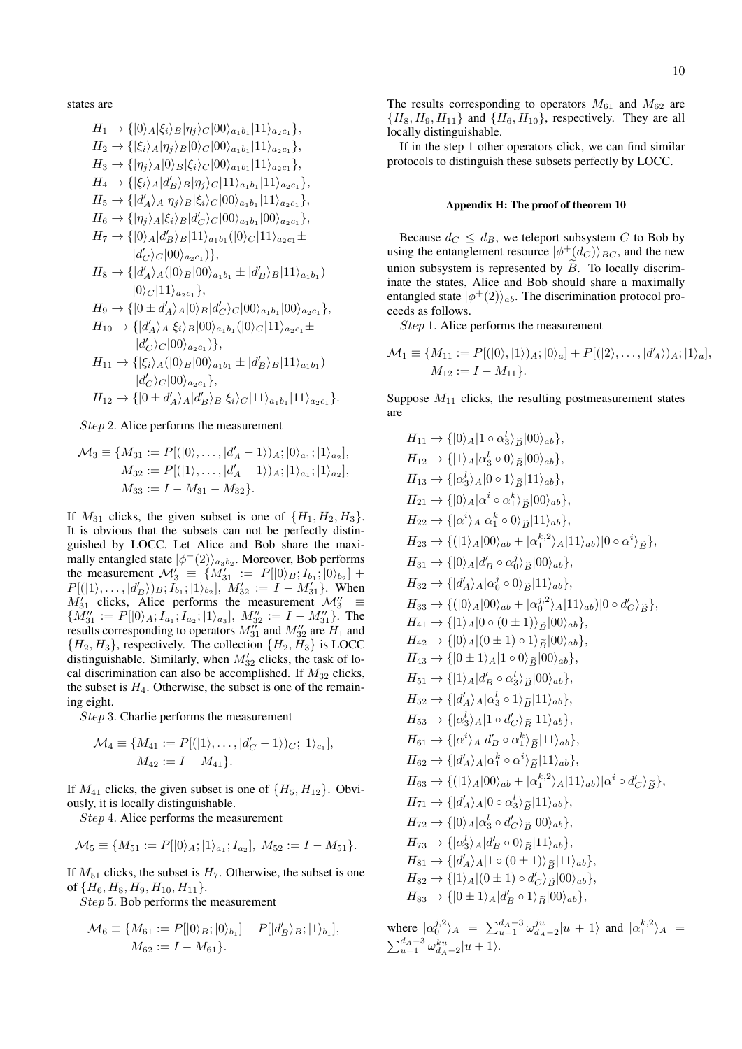states are

$$
H_1 \rightarrow \{ |0\rangle_A | \xi_i \rangle_B | \eta_j \rangle_C |00\rangle_{a_1b_1} |11\rangle_{a_2c_1} \},
$$
  
\n
$$
H_2 \rightarrow \{ | \xi_i \rangle_A | \eta_j \rangle_B |0\rangle_C |00\rangle_{a_1b_1} |11\rangle_{a_2c_1} \},
$$
  
\n
$$
H_3 \rightarrow \{ | \eta_j \rangle_A |0\rangle_B | \xi_i \rangle_C |00\rangle_{a_1b_1} |11\rangle_{a_2c_1} \},
$$
  
\n
$$
H_4 \rightarrow \{ | \xi_i \rangle_A | d'_B \rangle_B | \eta_j \rangle_C |11\rangle_{a_1b_1} |11\rangle_{a_2c_1} \},
$$
  
\n
$$
H_5 \rightarrow \{ | d'_A \rangle_A | \eta_j \rangle_B | \xi_i \rangle_C |00\rangle_{a_1b_1} |11\rangle_{a_2c_1} \},
$$
  
\n
$$
H_6 \rightarrow \{ | \eta_j \rangle_A | \xi_i \rangle_B | d'_C \rangle_C |00\rangle_{a_1b_1} |00\rangle_{a_2c_1} \},
$$
  
\n
$$
H_7 \rightarrow \{ |0\rangle_A | d'_B \rangle_B |11\rangle_{a_1b_1} (|0\rangle_C |11\rangle_{a_2c_1} \pm
$$
  
\n
$$
| d'_C \rangle_C |00\rangle_{a_2c_1} \},
$$
  
\n
$$
H_8 \rightarrow \{ | d'_A \rangle_A (|0\rangle_B |00\rangle_{a_1b_1} \pm | d'_B \rangle_B |11\rangle_{a_1b_1} )
$$
  
\n
$$
|0\rangle_C |11\rangle_{a_2c_1} \},
$$
  
\n
$$
H_9 \rightarrow \{ |0 \pm d'_A \rangle_A |0\rangle_B | d'_C \rangle_C |00\rangle_{a_1b_1} |00\rangle_{a_2c_1} \},
$$
  
\n
$$
H_{10} \rightarrow \{ | d'_A \rangle_A | \xi_i \rangle_B |00\rangle_{a_1b_1} (|0\rangle_C |11\rangle_{a_2c_1} \pm
$$
  
\n
$$
| d'_C \rangle_C |00\rangle_{a_2c_1}
$$

Step 2. Alice performs the measurement

$$
\mathcal{M}_3 \equiv \{ M_{31} := P[ (|0\rangle, \dots, |d'_A - 1\rangle)_{A}; |0\rangle_{a_1}; |1\rangle_{a_2}],
$$
  
\n
$$
M_{32} := P[ (|1\rangle, \dots, |d'_A - 1\rangle)_{A}; |1\rangle_{a_1}; |1\rangle_{a_2}],
$$
  
\n
$$
M_{33} := I - M_{31} - M_{32} \}.
$$

If  $M_{31}$  clicks, the given subset is one of  $\{H_1, H_2, H_3\}$ . It is obvious that the subsets can not be perfectly distinguished by LOCC. Let Alice and Bob share the maximally entangled state  $|\phi^+(2)\rangle_{a_3b_2}$ . Moreover, Bob performs the measurement  $\mathcal{M}'_3 \equiv \{M'_{31} := P[|0\rangle_B; I_{b_1}; |0\rangle_{b_2}] +$  $P[(|1\rangle, \ldots, |d'_{B}\rangle)_{B}; I_{b_1}; |1\rangle_{b_2}], M'_{32} := I - M'_{31}$ . When  $M'_{31}$  clicks, Alice performs the measurement  $\mathcal{M}''_3$  =  ${M''_{31} := P[|0\rangle_A; I_{a_1}; I_{a_2}; |1\rangle_{a_3}]}, M''_{32} := I - M''_{31}$ . The results corresponding to operators  $M_{31}''$  and  $M_{32}''$  are  $H_1$  and  ${H_2, H_3}$ , respectively. The collection  ${H_2, H_3}$  is LOCC distinguishable. Similarly, when  $M'_{32}$  clicks, the task of local discrimination can also be accomplished. If  $M_{32}$  clicks, the subset is  $H_4$ . Otherwise, the subset is one of the remaining eight.

Step 3. Charlie performs the measurement

$$
\mathcal{M}_4 \equiv \{ M_{41} := P[(|1\rangle, \dots, |d'_C - 1\rangle)_C; |1\rangle_{c_1}], M_{42} := I - M_{41} \}.
$$

If  $M_{41}$  clicks, the given subset is one of  $\{H_5, H_{12}\}$ . Obviously, it is locally distinguishable.

Step 4. Alice performs the measurement

$$
\mathcal{M}_5 \equiv \{M_{51} := P[|0\rangle_A; |1\rangle_{a_1}; I_{a_2}], M_{52} := I - M_{51}\}.
$$

If  $M_{51}$  clicks, the subset is  $H_7$ . Otherwise, the subset is one of  $\{H_6, H_8, H_9, H_{10}, H_{11}\}.$ 

Step 5. Bob performs the measurement

$$
\mathcal{M}_6 \equiv \{ M_{61} := P[|0\rangle_B; |0\rangle_{b_1}] + P[|d'_B\rangle_B; |1\rangle_{b_1}],
$$
  

$$
M_{62} := I - M_{61}\}.
$$

The results corresponding to operators  $M_{61}$  and  $M_{62}$  are  ${H_8, H_9, H_{11}}$  and  ${H_6, H_{10}}$ , respectively. They are all locally distinguishable.

If in the step 1 other operators click, we can find similar protocols to distinguish these subsets perfectly by LOCC.

#### <span id="page-9-0"></span>Appendix H: The proof of theorem 10

Because  $d_C \leq d_B$ , we teleport subsystem C to Bob by using the entanglement resource  $|\phi^+(d_C)\rangle_{BC}$ , and the new union subsystem is represented by  $\tilde{B}$ . To locally discriminate the states, Alice and Bob should share a maximally entangled state  $|\phi^+(2)\rangle_{ab}$ . The discrimination protocol proceeds as follows.

Step 1. Alice performs the measurement

$$
\mathcal{M}_1 \equiv \{ M_{11} := P[(|0\rangle, |1\rangle)_A; |0\rangle_a] + P[(|2\rangle, \dots, |d'_A\rangle)_A; |1\rangle_a],
$$
  

$$
M_{12} := I - M_{11}\}.
$$

Suppose  $M_{11}$  clicks, the resulting postmeasurement states are

$$
H_{11} \rightarrow \{ |0\rangle_A | 1 \circ \alpha_3^l \rangle_{\tilde{B}} |00\rangle_{ab} \},
$$
  
\n
$$
H_{12} \rightarrow \{ |1\rangle_A | \alpha_3^l \circ 0 \rangle_{\tilde{B}} |00\rangle_{ab} \},
$$
  
\n
$$
H_{13} \rightarrow \{ | \alpha_3^l \rangle_A | 0 \circ 1 \rangle_{\tilde{B}} |11\rangle_{ab} \},
$$
  
\n
$$
H_{21} \rightarrow \{ |0\rangle_A | \alpha^i \circ \alpha_1^k \rangle_{\tilde{B}} |00\rangle_{ab} \},
$$
  
\n
$$
H_{22} \rightarrow \{ | \alpha^i \rangle_A | \alpha_1^k \circ 0 \rangle_{\tilde{B}} |11\rangle_{ab} \},
$$
  
\n
$$
H_{23} \rightarrow \{ (|1\rangle_A |00\rangle_{ab} + | \alpha_1^k \rangle_A |11\rangle_{ab} |00 \circ \alpha^i \rangle_{\tilde{B}} \},
$$
  
\n
$$
H_{31} \rightarrow \{ |0\rangle_A | d'_B \circ \alpha_0^j \rangle_{\tilde{B}} |00\rangle_{ab} \},
$$
  
\n
$$
H_{32} \rightarrow \{ | d'_A \rangle_A | \alpha_0^j \circ 0 \rangle_{\tilde{B}} |11\rangle_{ab} \},
$$
  
\n
$$
H_{33} \rightarrow \{ (|0\rangle_A |00\rangle_{ab} + | \alpha_0^{j,2} \rangle_A |11\rangle_{ab} |00 \circ d'_{C} \rangle_{\tilde{B}} \},
$$
  
\n
$$
H_{41} \rightarrow \{ |1\rangle_A |0 \circ (0 \pm 1) \rangle_{\tilde{B}} |00\rangle_{ab} \},
$$
  
\n
$$
H_{42} \rightarrow \{ |0\rangle_A | (0 \pm 1) \circ 1 \rangle_{\tilde{B}} |00\rangle_{ab} \},
$$
  
\n
$$
H_{43} \rightarrow \{ |0 \pm 1\rangle_A | d'_B \circ \alpha_3^l \rangle_{\tilde{B}} |00\rangle_{ab} \},
$$
  
\n
$$
H_{52} \rightarrow \{ | d'_A \rangle_A | \alpha_3^l \circ 1 \rangle_{\til
$$

where  $|\alpha_0^{j,2}\rangle_A = \sum_{u=1}^{d_A-3} \omega_{d_A-2}^{ju}|u+1\rangle$  and  $|\alpha_1^{k,2}\rangle_A =$  $\sum_{u=1}^{d_A-3} \omega_{d_A-2}^{ku} |u+1\rangle.$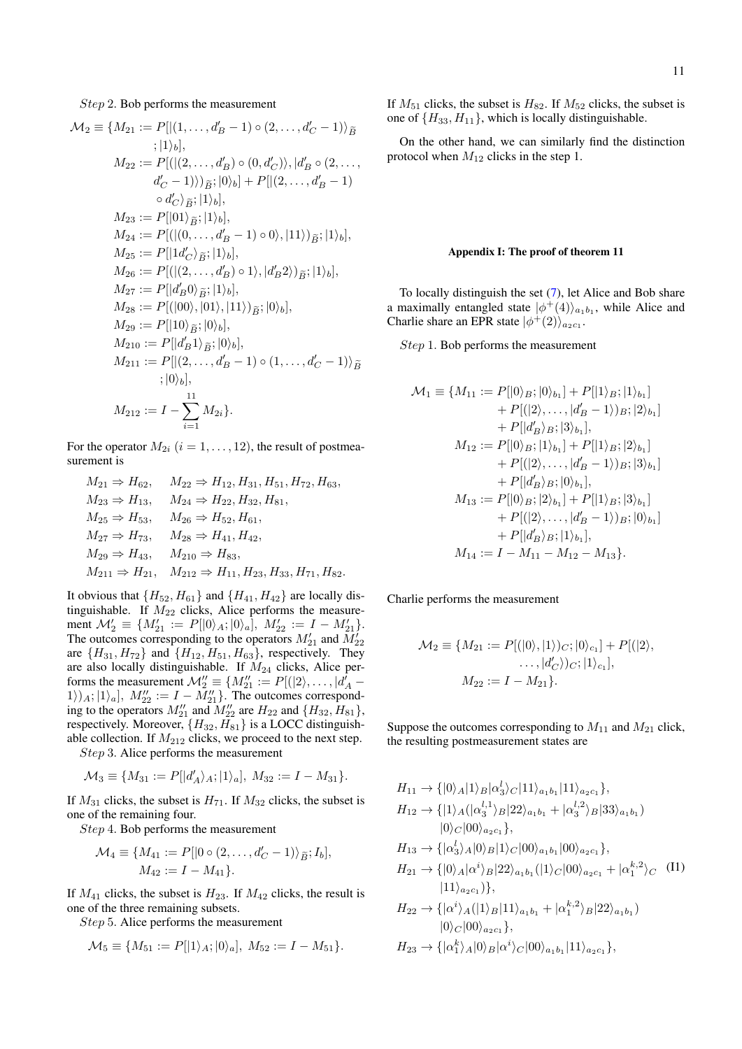Step 2. Bob performs the measurement

$$
\mathcal{M}_2 \equiv \{M_{21} := P[|(1, ..., d'_B - 1) \circ (2, ..., d'_C - 1)\}\tilde{B}
$$
  
\n
$$
;|1\rangle_b],
$$
  
\n
$$
M_{22} := P[((2, ..., d'_B) \circ (0, d'_C)), |d'_B \circ (2, ..., d'_C - 1)]\]
$$
  
\n
$$
d'_C - 1)\})_{\tilde{B}}; |0\rangle_b] + P[|(2, ..., d'_B - 1)\]
$$
  
\n
$$
\circ d'_C\rangle_{\tilde{B}}; |1\rangle_b],
$$
  
\n
$$
M_{23} := P[|01\rangle_{\tilde{B}}; |1\rangle_b],
$$
  
\n
$$
M_{24} := P[((0, ..., d'_B - 1) \circ 0), |11\rangle)_{\tilde{B}}; |1\rangle_b],
$$
  
\n
$$
M_{25} := P[|1d'_C\rangle_{\tilde{B}}; |1\rangle_b],
$$
  
\n
$$
M_{26} := P[((2, ..., d'_B) \circ 1), |d'_B 2\rangle)_{\tilde{B}}; |1\rangle_b],
$$
  
\n
$$
M_{27} := P[|d'_B 0\rangle_{\tilde{B}}; |1\rangle_b],
$$
  
\n
$$
M_{28} := P[|(00), |01\rangle, |11\rangle)_{\tilde{B}}; |0\rangle_b],
$$
  
\n
$$
M_{29} := P[|10\rangle_{\tilde{B}}; |0\rangle_b],
$$
  
\n
$$
M_{210} := P[|d'_B 1\rangle_{\tilde{B}}; |0\rangle_b],
$$
  
\n
$$
M_{211} := P[|(2, ..., d'_B - 1) \circ (1, ..., d'_C - 1)\rangle_{\tilde{B}}; |0\rangle_b],
$$
  
\n
$$
M_{212} := I - \sum_{i=1}^{11} M_{2i}.
$$

For the operator  $M_{2i}$   $(i = 1, \ldots, 12)$ , the result of postmeasurement is

$$
M_{21} \Rightarrow H_{62}, \quad M_{22} \Rightarrow H_{12}, H_{31}, H_{51}, H_{72}, H_{63},
$$
  
\n
$$
M_{23} \Rightarrow H_{13}, \quad M_{24} \Rightarrow H_{22}, H_{32}, H_{81},
$$
  
\n
$$
M_{25} \Rightarrow H_{53}, \quad M_{26} \Rightarrow H_{52}, H_{61},
$$
  
\n
$$
M_{27} \Rightarrow H_{73}, \quad M_{28} \Rightarrow H_{41}, H_{42},
$$
  
\n
$$
M_{29} \Rightarrow H_{43}, \quad M_{210} \Rightarrow H_{83},
$$
  
\n
$$
M_{211} \Rightarrow H_{21}, \quad M_{212} \Rightarrow H_{11}, H_{23}, H_{33}, H_{71}, H_{82}.
$$

It obvious that  ${H_{52}, H_{61}}$  and  ${H_{41}, H_{42}}$  are locally distinguishable. If  $M_{22}$  clicks, Alice performs the measurement  $\mathcal{M}'_2 \equiv \{M'_{21} := P[|0\rangle_A; |0\rangle_a], M'_{22} := I - M'_{21}\}.$ The outcomes corresponding to the operators  $M'_{21}$  and  $M'_{22}$ are  $\{H_{31}, H_{72}\}$  and  $\{H_{12}, H_{51}, H_{63}\}$ , respectively. They are also locally distinguishable. If  $M_{24}$  clicks, Alice performs the measurement  $\mathcal{M}_{2}^{\prime\prime} \equiv \{M_{21}^{\prime\prime} := P[(|2\rangle, \ldots, |d_{A}^{\prime} (1)$ <sub>A</sub>;  $|1\rangle_a$ ,  $M_{22}^{\prime\prime} := I - M_{21}^{\prime\prime}$ . The outcomes corresponding to the operators  $M_{21}''$  and  $M_{22}''$  are  $H_{22}$  and  $\{H_{32}, H_{81}\},$ respectively. Moreover,  ${H_{32}, H_{81}}$  is a LOCC distinguishable collection. If  $M_{212}$  clicks, we proceed to the next step.

Step 3. Alice performs the measurement

$$
\mathcal{M}_3 \equiv \{ M_{31} := P[|d'_A\rangle_A; |1\rangle_a], M_{32} := I - M_{31} \}.
$$

If  $M_{31}$  clicks, the subset is  $H_{71}$ . If  $M_{32}$  clicks, the subset is one of the remaining four.

Step 4. Bob performs the measurement

$$
\mathcal{M}_4 \equiv \{ M_{41} := P[|0 \circ (2, \dots, d'_C - 1) \rangle_{\widetilde{B}}; I_b], M_{42} := I - M_{41} \}.
$$

If  $M_{41}$  clicks, the subset is  $H_{23}$ . If  $M_{42}$  clicks, the result is one of the three remaining subsets.

Step 5. Alice performs the measurement

$$
\mathcal{M}_5 \equiv \{ M_{51} := P[|1\rangle_A; |0\rangle_a], \ M_{52} := I - M_{51} \}.
$$

If  $M_{51}$  clicks, the subset is  $H_{82}$ . If  $M_{52}$  clicks, the subset is one of  $\{H_{33}, H_{11}\}$ , which is locally distinguishable.

On the other hand, we can similarly find the distinction protocol when  $M_{12}$  clicks in the step 1.

### <span id="page-10-0"></span>Appendix I: The proof of theorem 11

To locally distinguish the set [\(7\)](#page-4-1), let Alice and Bob share a maximally entangled state  $|\phi^+(4)\rangle_{a_1b_1}$ , while Alice and Charlie share an EPR state  $|\phi^+(2)\rangle_{a_2c_1}$ .

Step 1. Bob performs the measurement

$$
\mathcal{M}_1 \equiv \{M_{11} := P[|0\rangle_B; |0\rangle_{b_1}] + P[|1\rangle_B; |1\rangle_{b_1}] \n+ P[(|2\rangle, \dots, |d'_B - 1\rangle)_B; |2\rangle_{b_1}] \n+ P[|d'_B\rangle_B; |3\rangle_{b_1}], \nM_{12} := P[|0\rangle_B; |1\rangle_{b_1}] + P[|1\rangle_B; |2\rangle_{b_1}] \n+ P[(|2\rangle, \dots, |d'_B - 1\rangle)_B; |3\rangle_{b_1}] \n+ P[|d'_B\rangle_B; |0\rangle_{b_1}], \nM_{13} := P[|0\rangle_B; |2\rangle_{b_1}] + P[|1\rangle_B; |3\rangle_{b_1}] \n+ P[(|2\rangle, \dots, |d'_B - 1\rangle)_B; |0\rangle_{b_1}] \n+ P[|d'_B\rangle_B; |1\rangle_{b_1}], \nM_{14} := I - M_{11} - M_{12} - M_{13}.
$$

Charlie performs the measurement

$$
\mathcal{M}_2 \equiv \{ M_{21} := P[(|0\rangle, |1\rangle)_C; |0\rangle_{c_1}] + P[(|2\rangle, \dots, |d'_C\rangle)_C; |1\rangle_{c_1}], \nM_{22} := I - M_{21}\}.
$$

Suppose the outcomes corresponding to  $M_{11}$  and  $M_{21}$  click, the resulting postmeasurement states are

<span id="page-10-1"></span>
$$
H_{11} \rightarrow \{ |0\rangle_A |1\rangle_B |\alpha_3'\rangle_C |11\rangle_{a_1b_1} |11\rangle_{a_2c_1} \},
$$
  
\n
$$
H_{12} \rightarrow \{ |1\rangle_A (|\alpha_3^{l,1}\rangle_B |22\rangle_{a_1b_1} + |\alpha_3^{l,2}\rangle_B |33\rangle_{a_1b_1})
$$
  
\n
$$
|0\rangle_C |00\rangle_{a_2c_1} \},
$$
  
\n
$$
H_{13} \rightarrow \{ |\alpha_3'\rangle_A |0\rangle_B |1\rangle_C |00\rangle_{a_1b_1} |00\rangle_{a_2c_1} \},
$$
  
\n
$$
H_{21} \rightarrow \{ |0\rangle_A |\alpha^i\rangle_B |22\rangle_{a_1b_1} (|1\rangle_C |00\rangle_{a_2c_1} + |\alpha_1^{k,2}\rangle_C \quad (II)
$$
  
\n
$$
|11\rangle_{a_2c_1} \},
$$
  
\n
$$
H_{22} \rightarrow \{ |\alpha^i\rangle_A (|1\rangle_B |11\rangle_{a_1b_1} + |\alpha_1^{k,2}\rangle_B |22\rangle_{a_1b_1} \},
$$
  
\n
$$
H_{23} \rightarrow \{ |\alpha_1^k\rangle_A |0\rangle_B |\alpha^i\rangle_C |00\rangle_{a_1b_1} |11\rangle_{a_2c_1} \},
$$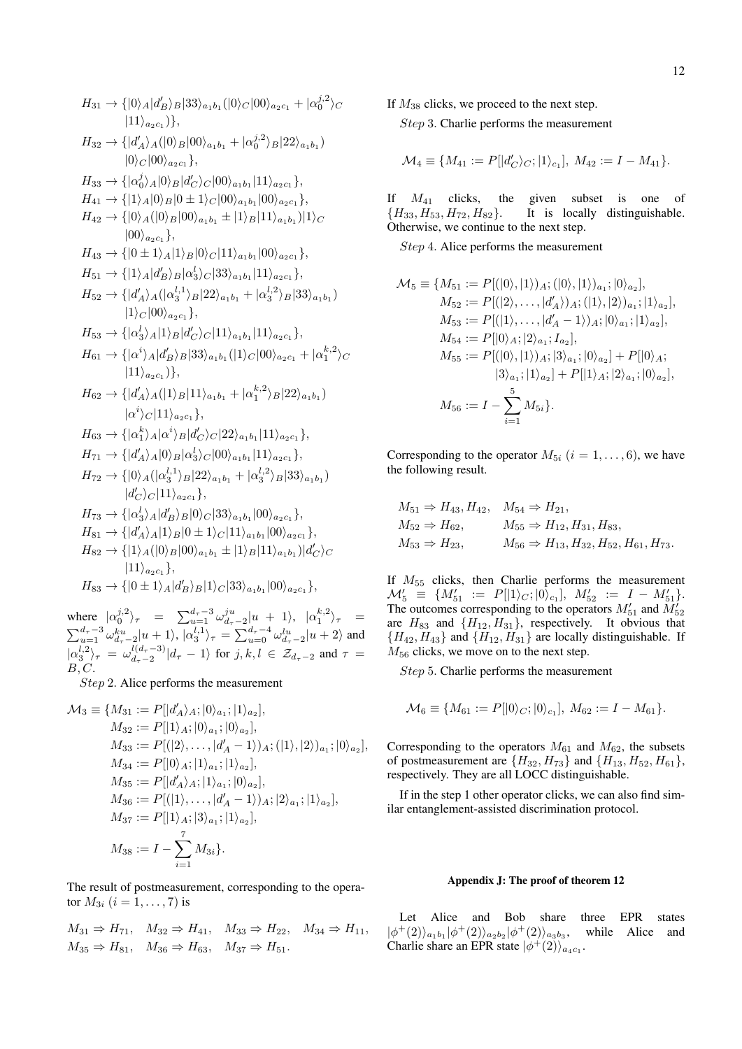$$
H_{31} \rightarrow \{ |0\rangle_A |d'_B\rangle_B |33\rangle_{a_1b_1} (|0\rangle_C |00\rangle_{a_2c_1} + |\alpha_0^{j,2}\rangle_C
$$
  
\n
$$
|11\rangle_{a_2c_1} \},
$$
  
\n
$$
H_{32} \rightarrow \{ |d'_A\rangle_A (|0\rangle_B |00\rangle_{a_1b_1} + |\alpha_0^{j,2}\rangle_B |22\rangle_{a_1b_1})
$$
  
\n
$$
|0\rangle_C |00\rangle_{a_2c_1} \},
$$
  
\n
$$
H_{33} \rightarrow \{ |\alpha_0^j\rangle_A |0\rangle_B |d'_C\rangle_C |00\rangle_{a_1b_1} |11\rangle_{a_2c_1} \},
$$
  
\n
$$
H_{41} \rightarrow \{ |1\rangle_A |0\rangle_B |0 \pm 1\rangle_C |00\rangle_{a_1b_1} |00\rangle_{a_2c_1} \},
$$
  
\n
$$
H_{42} \rightarrow \{ |0\rangle_A (|0\rangle_B |00\rangle_{a_1b_1} \pm |1\rangle_B |11\rangle_{a_1b_1} |1\rangle_C
$$
  
\n
$$
|00\rangle_{a_2c_1} \},
$$
  
\n
$$
H_{43} \rightarrow \{ |0 \pm 1\rangle_A |1\rangle_B |0\rangle_C |11\rangle_{a_1b_1} |00\rangle_{a_2c_1} \},
$$
  
\n
$$
H_{51} \rightarrow \{ |1\rangle_A |d'_B\rangle_B |\alpha_3^j\rangle_C |33\rangle_{a_1b_1} |11\rangle_{a_2c_1} \},
$$
  
\n
$$
H_{52} \rightarrow \{ |d'_A\rangle_A (|\alpha_3^{l,1}\rangle_B |22\rangle_{a_1b_1} + |\alpha_3^{l,2}\rangle_B |33\rangle_{a_1b_1} )
$$
  
\n
$$
|1\rangle_C |00\rangle_{a_2c_1} \},
$$
  
\n
$$
H_{53} \rightarrow \{ |\alpha_3^l\rangle_A |1\rangle_B |d'_C\rangle_C |11\rangle_{a_1b_1} |11\rangle_{a_2c_1} \},
$$
  
\n $$ 

where  $|\alpha_0^{j,2}\rangle_{\tau} = \sum_{u=1}^{d_{\tau}-3} \omega_{d_{\tau}-2}^{ju} |u + 1\rangle, |\alpha_1^{k,2}\rangle_{\tau} =$  $\sum_{u=1}^{d_{\tau}-3} \omega_{d_{\tau}-2}^{ku} |u+1\rangle, |\alpha_3^{l,1}\rangle_{\tau} = \sum_{u=0}^{d_{\tau}-4} \omega_{d_{\tau}-2}^{lu} |u+2\rangle$  and  $|\alpha_3^{l,2}\rangle_{\tau} = \omega_{d_{\tau}-2}^{l(d_{\tau}-3)}$  $\frac{d(a_{\tau}-s)}{dt_{\tau}-2}|d_{\tau}-1\rangle$  for  $j, k, l \in \mathcal{Z}_{d_{\tau}-2}$  and  $\tau =$  $B, C.$ 

Step 2. Alice performs the measurement

$$
\mathcal{M}_3 \equiv \{M_{31} := P[|d'_A\rangle_A; |0\rangle_{a_1}; |1\rangle_{a_2}],\nM_{32} := P[|1\rangle_A; |0\rangle_{a_1}; |0\rangle_{a_2}],\nM_{33} := P[(|2\rangle, \ldots, |d'_A - 1\rangle)_A; (|1\rangle, |2\rangle)_{a_1}; |0\rangle_{a_2}],\nM_{34} := P[|0\rangle_A; |1\rangle_{a_1}; |1\rangle_{a_2}],\nM_{35} := P[|d'_A\rangle_A; |1\rangle_{a_1}; |0\rangle_{a_2}],\nM_{36} := P[|1\rangle, \ldots, |d'_A - 1\rangle)_A; |2\rangle_{a_1}; |1\rangle_{a_2}],\nM_{37} := P[|1\rangle_A; |3\rangle_{a_1}; |1\rangle_{a_2}],\nM_{38} := I - \sum_{i=1}^7 M_{3i}.
$$

The result of postmeasurement, corresponding to the operator  $M_{3i}$   $(i = 1, ..., 7)$  is

$$
M_{31} \Rightarrow H_{71}, \quad M_{32} \Rightarrow H_{41}, \quad M_{33} \Rightarrow H_{22}, \quad M_{34} \Rightarrow H_{11},
$$
  

$$
M_{35} \Rightarrow H_{81}, \quad M_{36} \Rightarrow H_{63}, \quad M_{37} \Rightarrow H_{51}.
$$

If  $M_{38}$  clicks, we proceed to the next step. Step 3. Charlie performs the measurement

$$
\mathcal{M}_4 \equiv \{M_{41} := P[|d'_C\rangle_C; |1\rangle_{c_1}], M_{42} := I - M_{41}\}.
$$

If  $M_{41}$  clicks, the given subset is one of  $\{H_{33}, H_{53}, H_{72}, H_{82}\}$ . It is locally distinguishable. It is locally distinguishable. Otherwise, we continue to the next step.

Step 4. Alice performs the measurement

$$
\mathcal{M}_5 \equiv \{ M_{51} := P[(|0\rangle, |1\rangle)_{A}; (|0\rangle, |1\rangle)_{a_1}; |0\rangle_{a_2}],
$$
  
\n
$$
M_{52} := P[(|2\rangle, \dots, |d'_A\rangle)_{A}; (|1\rangle, |2\rangle)_{a_1}; |1\rangle_{a_2}],
$$
  
\n
$$
M_{53} := P[(|1\rangle, \dots, |d'_A - 1\rangle)_{A}; |0\rangle_{a_1}; |1\rangle_{a_2}],
$$
  
\n
$$
M_{54} := P[|0\rangle_{A}; |2\rangle_{a_1}; I_{a_2}],
$$
  
\n
$$
M_{55} := P[(|0\rangle, |1\rangle)_{A}; |3\rangle_{a_1}; |0\rangle_{a_2}] + P[|0\rangle_{A};
$$
  
\n
$$
|3\rangle_{a_1}; |1\rangle_{a_2}] + P[|1\rangle_{A}; |2\rangle_{a_1}; |0\rangle_{a_2}],
$$
  
\n
$$
M_{56} := I - \sum_{i=1}^{5} M_{5i}.
$$

Corresponding to the operator  $M_{5i}$   $(i = 1, \ldots, 6)$ , we have the following result.

$$
M_{51} \Rightarrow H_{43}, H_{42}, M_{54} \Rightarrow H_{21},
$$
  
\n
$$
M_{52} \Rightarrow H_{62}, M_{55} \Rightarrow H_{12}, H_{31}, H_{83},
$$
  
\n
$$
M_{53} \Rightarrow H_{23}, M_{56} \Rightarrow H_{13}, H_{32}, H_{52}, H_{61}, H_{73}.
$$

If  $M_{55}$  clicks, then Charlie performs the measurement  $\mathcal{M}'_5 \equiv \{M'_{51} := P[|1\rangle_C;|0\rangle_{c_1}], \ M'_{52} := I - M'_{51}\}.$ The outcomes corresponding to the operators  $M'_{51}$  and  $M'_{52}$ are  $H_{83}$  and  $\{H_{12}, H_{31}\}$ , respectively. It obvious that  ${H_{42}, H_{43}}$  and  ${H_{12}, H_{31}}$  are locally distinguishable. If  $M_{56}$  clicks, we move on to the next step.

Step 5. Charlie performs the measurement

$$
\mathcal{M}_6 \equiv \{M_{61} := P[|0\rangle_C; |0\rangle_{c_1}], M_{62} := I - M_{61}\}.
$$

Corresponding to the operators  $M_{61}$  and  $M_{62}$ , the subsets of postmeasurement are  $\{H_{32}, H_{73}\}\$  and  $\{H_{13}, H_{52}, H_{61}\}\$ , respectively. They are all LOCC distinguishable.

If in the step 1 other operator clicks, we can also find similar entanglement-assisted discrimination protocol.

## <span id="page-11-0"></span>Appendix J: The proof of theorem 12

Let Alice and Bob share three EPR states  $|\phi^+(2)\rangle_{a_1} \phi^+(2) \rangle_{a_2 b_2} |\phi^+(2)\rangle_{a_3 b_3}$ , while Alice and Charlie share an EPR state  $|\phi^+(2)\rangle_{a_4c_1}$ .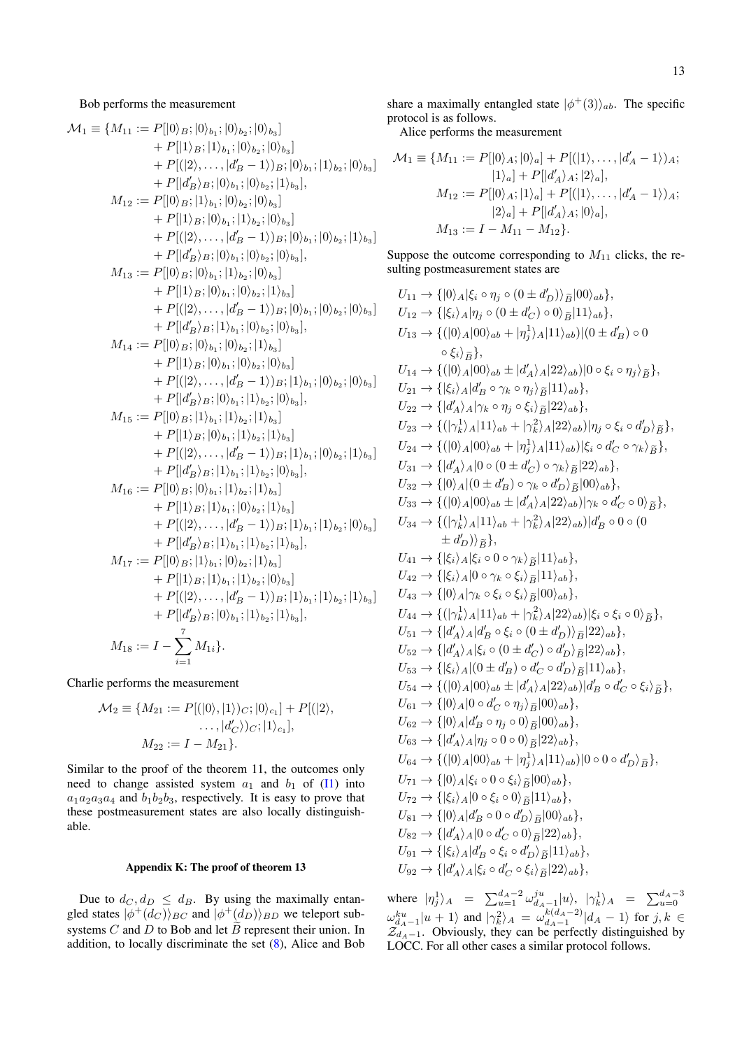Bob performs the measurement

$$
\mathcal{M}_1 \equiv \{M_{11} := P[|0\rangle_B; |0\rangle_{b_1}; |0\rangle_{b_2}; |0\rangle_{b_3}] \n+ P[|1\rangle_B; |1\rangle_{b_1}; |0\rangle_{b_2}; |0\rangle_{b_3}] \n+ P([2\rangle, ..., |d'_B - 1\rangle)B; |0\rangle_{b_1}; |1\rangle_{b_2}; |0\rangle_{b_3}] \n+ P[|d'_B\rangle_B; |0\rangle_{b_1}; |0\rangle_{b_2}; |1\rangle_{b_3}], \nM_{12} := P[|0\rangle_B; |1\rangle_{b_1}; |0\rangle_{b_2}; |0\rangle_{b_3}] \n+ P[|1\rangle_B; |0\rangle_{b_1}; |1\rangle_{b_2}; |0\rangle_{b_3}] \n+ P[|d'_B\rangle_B; |0\rangle_{b_1}; |1\rangle_{b_2}; |0\rangle_{b_3}], \nM_{13} := P[|0\rangle_B; |0\rangle_{b_1}; |0\rangle_{b_2}; |0\rangle_{b_3}], \nM_{14} := P[|1\rangle_B; |0\rangle_{b_1}; |0\rangle_{b_2}; |1\rangle_{b_3}] \n+ P[|1\rangle_B; |0\rangle_{b_1}; |0\rangle_{b_2}; |1\rangle_{b_3}] \n+ P[|2\rangle_B; |1\rangle_{b_1}; |0\rangle_{b_2}; |1\rangle_{b_3}] \n+ P[|1\rangle_B; |0\rangle_{b_1}; |0\rangle_{b_2}; |1\rangle_{b_3}] \n+ P[|1\rangle_B; |0\rangle_{b_1}; |0\rangle_{b_2}; |0\rangle_{b_3}], \nM_{14} := P[|0\rangle_B; |1\rangle_{b_1}; |0\rangle_{b_2}; |0\rangle_{b_3}], \nM_{15} = P[|0\rangle_B; |1\rangle_{b_1}; |1\rangle_{b_2}; |0\rangle_{b_3}], \n+ P[|1\rangle_B; |0\rangle_{b_1}; |1\rangle_{b_2}; |0\rangle_{b_3}], \nM_{15} := P[|0\rangle_B; |1\rangle_{b_1}; |1\rangle_{b_2}; |1\rangle_{b_3}] \n+ P[|1\rangle_B; |0\rangle_{b_1}; |
$$

Charlie performs the measurement

$$
\mathcal{M}_2 \equiv \{ M_{21} := P[(|0\rangle, |1\rangle)_C; |0\rangle_{c_1}] + P[(|2\rangle, \dots, |d'_C\rangle)_C; |1\rangle_{c_1}], M_{22} := I - M_{21}\}.
$$

Similar to the proof of the theorem 11, the outcomes only need to change assisted system  $a_1$  and  $b_1$  of [\(I1\)](#page-10-1) into  $a_1a_2a_3a_4$  and  $b_1b_2b_3$ , respectively. It is easy to prove that these postmeasurement states are also locally distinguishable.

## <span id="page-12-0"></span>Appendix K: The proof of theorem 13

Due to  $d_C, d_D \leq d_B$ . By using the maximally entangled states  $|\phi^+(d_C)\rangle_{BC}$  and  $|\phi^+(d_D)\rangle_{BD}$  we teleport subsystems  $C$  and  $D$  to Bob and let  $\overline{B}$  represent their union. In addition, to locally discriminate the set [\(8\)](#page-4-2), Alice and Bob

share a maximally entangled state  $|\phi^+(3)\rangle_{ab}$ . The specific protocol is as follows.

Alice performs the measurement

$$
\mathcal{M}_1 \equiv \{M_{11} := P[|0\rangle_A; |0\rangle_a] + P[(|1\rangle, \dots, |d'_A - 1\rangle)_A; |1\rangle_a] + P[|d'_A\rangle_A; |2\rangle_a], \nM_{12} := P[|0\rangle_A; |1\rangle_a] + P[(|1\rangle, \dots, |d'_A - 1\rangle)_A; \n|2\rangle_a] + P[|d'_A\rangle_A; |0\rangle_a], \nM_{13} := I - M_{11} - M_{12}.
$$

Suppose the outcome corresponding to  $M_{11}$  clicks, the resulting postmeasurement states are

$$
U_{11} \rightarrow \{ |0\rangle_A | \xi_i \circ \eta_j \circ (0 \pm d'_D) \rangle_{\tilde{B}} |00\rangle_{ab} \},
$$
  
\n
$$
U_{12} \rightarrow \{ | \xi_i \rangle_A | \eta_j \circ (0 \pm d'_C) \circ 0 \rangle_{\tilde{B}} |11\rangle_{ab} \},
$$
  
\n
$$
U_{13} \rightarrow \{ (|0\rangle_A |00\rangle_{ab} + |\eta_j^1 \rangle_A |11\rangle_{ab}) |0 \pm d'_B \} \circ 0
$$
  
\n
$$
\circ \xi_i \rangle_{\tilde{B}} \},
$$
  
\n
$$
U_{14} \rightarrow \{ (|0\rangle_A |00\rangle_{ab} \pm |d'_A\rangle_A |22\rangle_{ab}) |0 \circ \xi_i \circ \eta_j \rangle_{\tilde{B}} \},
$$
  
\n
$$
U_{21} \rightarrow \{ | \xi_i \rangle_A | d'_B \circ \gamma_k \circ \eta_j \rangle_{\tilde{B}} |11\rangle_{ab} \},
$$
  
\n
$$
U_{22} \rightarrow \{ | d'_A\rangle_A | \gamma_k \circ \eta_j \circ \xi_i \rangle_{\tilde{B}} |22\rangle_{ab} \},
$$
  
\n
$$
U_{23} \rightarrow \{ (| \gamma_k \rangle_A |11\rangle_{ab} + |\gamma_k^2 \rangle_A |22\rangle_{ab}) | \eta_j \circ \xi_i \circ d'_D \rangle_{\tilde{B}} \},
$$
  
\n
$$
U_{31} \rightarrow \{ | d'_A\rangle_A |0 \circ (0 \pm d'_D) \circ \gamma_k \rangle_{\tilde{B}} |22\rangle_{ab} \},
$$
  
\n
$$
U_{32} \rightarrow \{ | 0\rangle_A |00 \rangle_{ab} + |\eta_j^1 \rangle_A |11\rangle_{ab} | \xi_i \circ d'_C \circ \gamma_k \rangle_{\tilde{B}} \},
$$
  
\n
$$
U_{33} \rightarrow \{ (| 0\rangle_A |00\rangle_{ab} \pm |d'_A\rangle_A |22\rangle_{ab} | \gamma_k \circ d'_C \circ 0 \rangle_{\tilde{B}} \},
$$
  
\n
$$
U_{34} \rightarrow \{ (| \gamma_k \rangle_A |11\rangle_{ab} + |\gamma_k^2 \rangle_A |22\rangle_{ab} | \
$$

where  $|\eta_j^1\rangle_A = \sum_{u=1}^{d_A-2} \omega_{d_A-1}^{ju} |u\rangle, |\gamma_k^1\rangle_A = \sum_{u=0}^{d_A-3}$  $\omega_{d_A-1}^{ku}|u+1\rangle$  and  $|\gamma_k^2\rangle_A = \omega_{d_A-1}^{k(d_A-2)}$  $\int_{d_A-1}^{\kappa(a_A-2)} |d_A-1\rangle$  for  $j,k \in$  $\mathcal{Z}_{d_A-1}$ . Obviously, they can be perfectly distinguished by LOCC. For all other cases a similar protocol follows.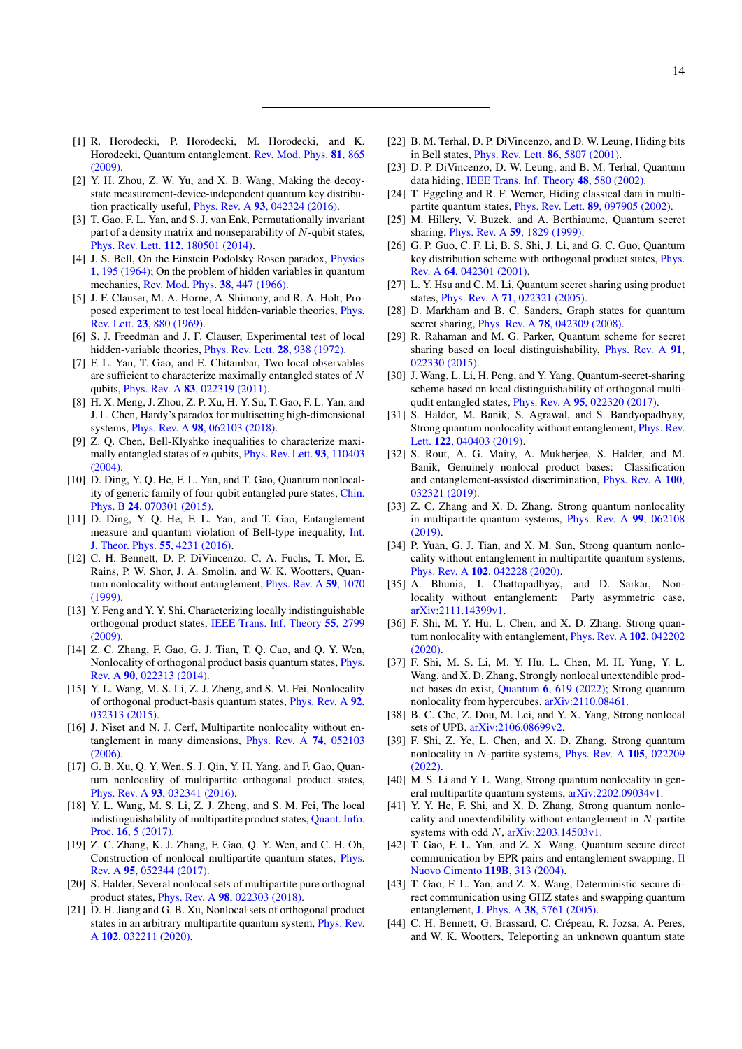- <span id="page-13-0"></span>[1] R. Horodecki, P. Horodecki, M. Horodecki, and K. Horodecki, Quantum entanglement, [Rev. Mod. Phys.](https://journals.aps.org/rmp/abstract/10.1103/RevModPhys.81.865) 81, 865 [\(2009\).](https://journals.aps.org/rmp/abstract/10.1103/RevModPhys.81.865)
- [2] Y. H. Zhou, Z. W. Yu, and X. B. Wang, Making the decoystate measurement-device-independent quantum key distribution practically useful, Phys. Rev. A 93[, 042324 \(2016\).](https://journals.aps.org/pra/abstract/10.1103/PhysRevA.93.042324)
- <span id="page-13-1"></span>[3] T. Gao, F. L. Yan, and S. J. van Enk, Permutationally invariant part of a density matrix and nonseparability of  $N$ -qubit states, Phys. Rev. Lett. 112[, 180501 \(2014\).](https://journals.aps.org/prl/abstract/10.1103/PhysRevLett.112.180501)
- <span id="page-13-2"></span>[4] J. S. Bell, On the Einstein Podolsky Rosen paradox, *[Physics](https://journals.aps.org/ppf/abstract/10.1103/PhysicsPhysiqueFizika.1.195)* 1[, 195 \(1964\);](https://journals.aps.org/ppf/abstract/10.1103/PhysicsPhysiqueFizika.1.195) On the problem of hidden variables in quantum mechanics, [Rev. Mod. Phys.](https://journals.aps.org/rmp/abstract/10.1103/RevModPhys.38.447) 38, 447 (1966).
- [5] J. F. Clauser, M. A. Horne, A. Shimony, and R. A. Holt, Proposed experiment to test local hidden-variable theories, [Phys.](https://journals.aps.org/prl/abstract/10.1103/PhysRevLett.23.880) Rev. Lett. 23[, 880 \(1969\).](https://journals.aps.org/prl/abstract/10.1103/PhysRevLett.23.880)
- [6] S. J. Freedman and J. F. Clauser, Experimental test of local hidden-variable theories, [Phys. Rev. Lett.](https://journals.aps.org/prl/abstract/10.1103/PhysRevLett.28.938) 28, 938 (1972).
- [7] F. L. Yan, T. Gao, and E. Chitambar, Two local observables are sufficient to characterize maximally entangled states of N qubits, Phys. Rev. A 83[, 022319 \(2011\).](https://journals.aps.org/pra/abstract/10.1103/PhysRevA.83.022319)
- [8] H. X. Meng, J. Zhou, Z. P. Xu, H. Y. Su, T. Gao, F. L. Yan, and J. L. Chen, Hardy's paradox for multisetting high-dimensional systems, Phys. Rev. A 98[, 062103 \(2018\).](https://journals.aps.org/pra/pdf/10.1103/PhysRevA.98.062103)
- [9] Z. Q. Chen, Bell-Klyshko inequalities to characterize maximally entangled states of  $n$  qubits, [Phys. Rev. Lett.](https://journals.aps.org/prl/abstract/10.1103/PhysRevLett.93.110403) 93, 110403 [\(2004\).](https://journals.aps.org/prl/abstract/10.1103/PhysRevLett.93.110403)
- [10] D. Ding, Y. Q. He, F. L. Yan, and T. Gao, Quantum nonlocality of generic family of four-qubit entangled pure states, [Chin.](https://doi.org/10.1088/1674-1056/24/7/070301) Phys. B 24[, 070301 \(2015\).](https://doi.org/10.1088/1674-1056/24/7/070301)
- <span id="page-13-3"></span>[11] D. Ding, Y. Q. He, F. L. Yan, and T. Gao, Entanglement measure and quantum violation of Bell-type inequality, [Int.](https://doi.org/10.1007/s10773-016-3048-1) [J. Theor. Phys.](https://doi.org/10.1007/s10773-016-3048-1) 55, 4231 (2016).
- <span id="page-13-4"></span>[12] C. H. Bennett, D. P. DiVincenzo, C. A. Fuchs, T. Mor, E. Rains, P. W. Shor, J. A. Smolin, and W. K. Wootters, Quantum nonlocality without entanglement, [Phys. Rev. A](https://journals.aps.org/pra/abstract/10.1103/PhysRevA.59.1070) 59, 1070 [\(1999\).](https://journals.aps.org/pra/abstract/10.1103/PhysRevA.59.1070)
- <span id="page-13-5"></span>[13] Y. Feng and Y. Y. Shi, Characterizing locally indistinguishable orthogonal product states, [IEEE Trans. Inf. Theory](https://doi.org/10.1109/TIT.2009.2018330) 55, 2799 [\(2009\).](https://doi.org/10.1109/TIT.2009.2018330)
- <span id="page-13-7"></span>[14] Z. C. Zhang, F. Gao, G. J. Tian, T. Q. Cao, and Q. Y. Wen, Nonlocality of orthogonal product basis quantum states, [Phys.](https://journals.aps.org/pra/abstract/10.1103/PhysRevA.90.022313) Rev. A 90[, 022313 \(2014\).](https://journals.aps.org/pra/abstract/10.1103/PhysRevA.90.022313)
- <span id="page-13-8"></span>[15] Y. L. Wang, M. S. Li, Z. J. Zheng, and S. M. Fei, Nonlocality of orthogonal product-basis quantum states, [Phys. Rev. A](https://journals.aps.org/pra/abstract/10.1103/PhysRevA.92.032313) 92, [032313 \(2015\).](https://journals.aps.org/pra/abstract/10.1103/PhysRevA.92.032313)
- [16] J. Niset and N. J. Cerf, Multipartite nonlocality without entanglement in many dimensions, [Phys. Rev. A](https://journals.aps.org/pra/abstract/10.1103/PhysRevA.74.052103) 74, 052103 [\(2006\).](https://journals.aps.org/pra/abstract/10.1103/PhysRevA.74.052103)
- <span id="page-13-9"></span>[17] G. B. Xu, Q. Y. Wen, S. J. Qin, Y. H. Yang, and F. Gao, Quantum nonlocality of multipartite orthogonal product states, Phys. Rev. A 93[, 032341 \(2016\).](https://journals.aps.org/pra/abstract/10.1103/PhysRevA.93.032341)
- [18] Y. L. Wang, M. S. Li, Z. J. Zheng, and S. M. Fei, The local indistinguishability of multipartite product states, [Quant. Info.](https://doi.org/10.1007/s11128-016-1477-7) Proc. 16[, 5 \(2017\).](https://doi.org/10.1007/s11128-016-1477-7)
- [19] Z. C. Zhang, K. J. Zhang, F. Gao, Q. Y. Wen, and C. H. Oh, Construction of nonlocal multipartite quantum states, [Phys.](https://journals.aps.org/pra/abstract/10.1103/PhysRevA.95.052344) Rev. A 95[, 052344 \(2017\).](https://journals.aps.org/pra/abstract/10.1103/PhysRevA.95.052344)
- [20] S. Halder, Several nonlocal sets of multipartite pure orthognal product states, Phys. Rev. A 98[, 022303 \(2018\).](https://journals.aps.org/pra/abstract/10.1103/PhysRevA.98.022303)
- <span id="page-13-6"></span>[21] D. H. Jiang and G. B. Xu, Nonlocal sets of orthogonal product states in an arbitrary multipartite quantum system, [Phys. Rev.](https://journals.aps.org/pra/abstract/10.1103/PhysRevA.102.032211) A 102[, 032211 \(2020\).](https://journals.aps.org/pra/abstract/10.1103/PhysRevA.102.032211)
- <span id="page-13-10"></span>[22] B. M. Terhal, D. P. DiVincenzo, and D. W. Leung, Hiding bits in Bell states, [Phys. Rev. Lett.](https://journals.aps.org/prl/abstract/10.1103/PhysRevLett.86.5807) 86, 5807 (2001).
- [23] D. P. DiVincenzo, D. W. Leung, and B. M. Terhal, Quantum data hiding, [IEEE Trans. Inf. Theory](https://ieeexplore.ieee.org/document/985948/) 48, 580 (2002).
- <span id="page-13-11"></span>[24] T. Eggeling and R. F. Werner, Hiding classical data in multipartite quantum states, Phys. Rev. Lett. 89[, 097905 \(2002\).](https://journals.aps.org/prl/abstract/10.1103/PhysRevLett.89.097905)
- <span id="page-13-12"></span>[25] M. Hillery, V. Buzek, and A. Berthiaume, Quantum secret sharing, Phys. Rev. A 59[, 1829 \(1999\).](https://journals.aps.org/pra/abstract/10.1103/PhysRevA.59.1829)
- [26] G. P. Guo, C. F. Li, B. S. Shi, J. Li, and G. C. Guo, Quantum key distribution scheme with orthogonal product states, *[Phys.](https://journals.aps.org/pra/abstract/10.1103/PhysRevA.64.042301)* Rev. A 64[, 042301 \(2001\).](https://journals.aps.org/pra/abstract/10.1103/PhysRevA.64.042301)
- [27] L. Y. Hsu and C. M. Li, Quantum secret sharing using product states, Phys. Rev. A 71[, 022321 \(2005\).](https://journals.aps.org/pra/abstract/10.1103/PhysRevA.71.022321)
- [28] D. Markham and B. C. Sanders, Graph states for quantum secret sharing, Phys. Rev. A 78[, 042309 \(2008\).](https://journals.aps.org/pra/abstract/10.1103/PhysRevA.78.042309)
- [29] R. Rahaman and M. G. Parker, Quantum scheme for secret sharing based on local distinguishability, [Phys. Rev. A](https://journals.aps.org/pra/abstract/10.1103/PhysRevA.91.022330) 91, [022330 \(2015\).](https://journals.aps.org/pra/abstract/10.1103/PhysRevA.91.022330)
- <span id="page-13-13"></span>[30] J. Wang, L. Li, H. Peng, and Y. Yang, Quantum-secret-sharing scheme based on local distinguishability of orthogonal multiqudit entangled states, Phys. Rev. A 95[, 022320 \(2017\).](https://journals.aps.org/pra/abstract/10.1103/PhysRevA.95.022320)
- <span id="page-13-14"></span>[31] S. Halder, M. Banik, S. Agrawal, and S. Bandyopadhyay, Strong quantum nonlocality without entanglement, [Phys. Rev.](https://journals.aps.org/prl/abstract/10.1103/PhysRevLett.122.040403) Lett. **122**[, 040403 \(2019\).](https://journals.aps.org/prl/abstract/10.1103/PhysRevLett.122.040403)
- <span id="page-13-20"></span>[32] S. Rout, A. G. Maity, A. Mukherjee, S. Halder, and M. Banik, Genuinely nonlocal product bases: Classification and entanglement-assisted discrimination, [Phys. Rev. A](https://journals.aps.org/pra/abstract/10.1103/PhysRevA.100.032321) 100, [032321 \(2019\).](https://journals.aps.org/pra/abstract/10.1103/PhysRevA.100.032321)
- <span id="page-13-16"></span>[33] Z. C. Zhang and X. D. Zhang, Strong quantum nonlocality in multipartite quantum systems, [Phys. Rev. A](https://journals.aps.org/pra/abstract/10.1103/PhysRevA.99.062108) 99, 062108 [\(2019\).](https://journals.aps.org/pra/abstract/10.1103/PhysRevA.99.062108)
- <span id="page-13-23"></span>[34] P. Yuan, G. J. Tian, and X. M. Sun, Strong quantum nonlocality without entanglement in multipartite quantum systems, Phys. Rev. A 102[, 042228 \(2020\).](https://journals.aps.org/pra/abstract/10.1103/PhysRevA.102.042228)
- <span id="page-13-22"></span>[35] A. Bhunia, I. Chattopadhyay, and D. Sarkar, Nonlocality without entanglement: Party asymmetric case, [arXiv:2111.14399v1.](https://arxiv.org/abs/2111.14399)
- [36] F. Shi, M. Y. Hu, L. Chen, and X. D. Zhang, Strong quantum nonlocality with entanglement, [Phys. Rev. A](https://journals.aps.org/pra/abstract/10.1103/PhysRevA.102. 042202) 102, 042202 [\(2020\).](https://journals.aps.org/pra/abstract/10.1103/PhysRevA.102. 042202)
- <span id="page-13-21"></span>[37] F. Shi, M. S. Li, M. Y. Hu, L. Chen, M. H. Yung, Y. L. Wang, and X. D. Zhang, Strongly nonlocal unextendible product bases do exist, Quantum 6[, 619 \(2022\);](https://doi.org/10.22331/q-2022-01-05-619) Strong quantum nonlocality from hypercubes, [arXiv:2110.08461.](https://arxiv.org/abs/2110.08461)
- [38] B. C. Che, Z. Dou, M. Lei, and Y. X. Yang, Strong nonlocal sets of UPB, [arXiv:2106.08699v2.](https://arxiv.org/abs/2106.08699)
- [39] F. Shi, Z. Ye, L. Chen, and X. D. Zhang, Strong quantum nonlocality in N-partite systems, [Phys. Rev. A](https://journals.aps.org/pra/abstract/10.1103/PhysRevA.105. 022209) 105, 022209 [\(2022\).](https://journals.aps.org/pra/abstract/10.1103/PhysRevA.105. 022209)
- [40] M. S. Li and Y. L. Wang, Strong quantum nonlocality in general multipartite quantum systems, [arXiv:2202.09034v1.](https://arxiv.org/abs/2202.09034)
- <span id="page-13-15"></span>[41] Y. Y. He, F. Shi, and X. D. Zhang, Strong quantum nonlocality and unextendibility without entanglement in N-partite systems with odd N, [arXiv:2203.14503v1.](https://arxiv.org/abs/2203.14503)
- <span id="page-13-17"></span>[42] T. Gao, F. L. Yan, and Z. X. Wang, Quantum secure direct communication by EPR pairs and entanglement swapping, [Il](https://doi.org/10.1393/ncb/i2004-10090-1) [Nuovo Cimento](https://doi.org/10.1393/ncb/i2004-10090-1) 119B, 313 (2004).
- <span id="page-13-18"></span>[43] T. Gao, F. L. Yan, and Z. X. Wang, Deterministic secure direct communication using GHZ states and swapping quantum entanglement, J. Phys. A 38[, 5761 \(2005\).](https://iopscience.iop.org/article/10.1088/0305-4470/38/25/011)
- <span id="page-13-19"></span>[44] C. H. Bennett, G. Brassard, C. Crépeau, R. Jozsa, A. Peres, and W. K. Wootters, Teleporting an unknown quantum state